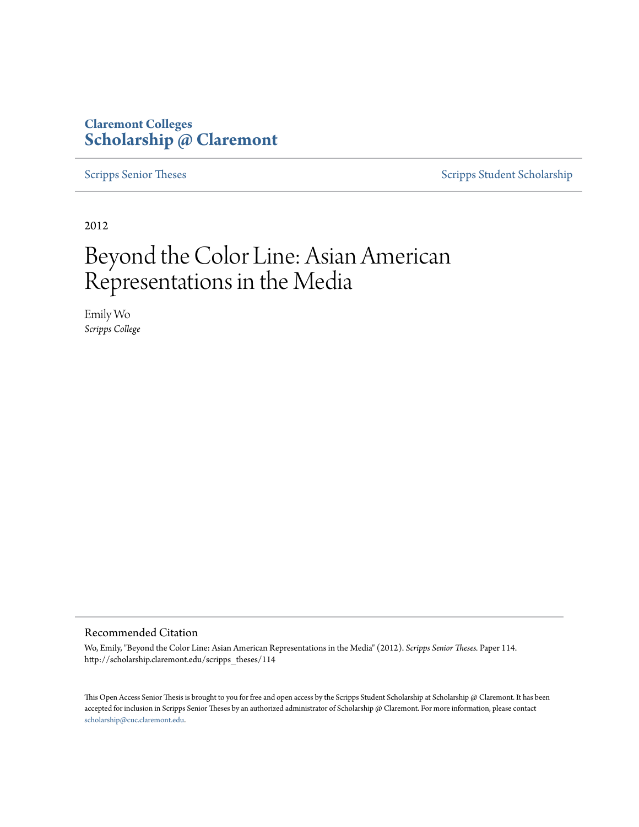### **Claremont Colleges [Scholarship @ Claremont](http://scholarship.claremont.edu)**

[Scripps Senior Theses](http://scholarship.claremont.edu/scripps_theses) [Scripps Student Scholarship](http://scholarship.claremont.edu/scripps_student)

2012

# Beyond the Color Line: Asian American Representations in the Media

Emily Wo *Scripps College*

#### Recommended Citation

Wo, Emily, "Beyond the Color Line: Asian American Representations in the Media" (2012). *Scripps Senior Theses.* Paper 114. http://scholarship.claremont.edu/scripps\_theses/114

This Open Access Senior Thesis is brought to you for free and open access by the Scripps Student Scholarship at Scholarship @ Claremont. It has been accepted for inclusion in Scripps Senior Theses by an authorized administrator of Scholarship @ Claremont. For more information, please contact [scholarship@cuc.claremont.edu.](mailto:scholarship@cuc.claremont.edu)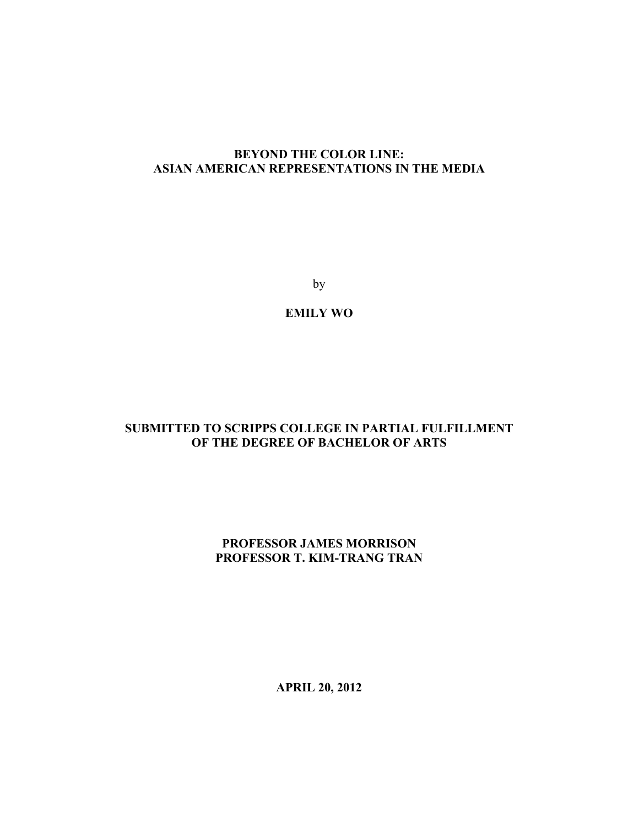#### **BEYOND THE COLOR LINE: ASIAN AMERICAN REPRESENTATIONS IN THE MEDIA**

by

**EMILY WO**

#### **SUBMITTED TO SCRIPPS COLLEGE IN PARTIAL FULFILLMENT OF THE DEGREE OF BACHELOR OF ARTS**

#### **PROFESSOR JAMES MORRISON PROFESSOR T. KIM-TRANG TRAN**

**APRIL 20, 2012**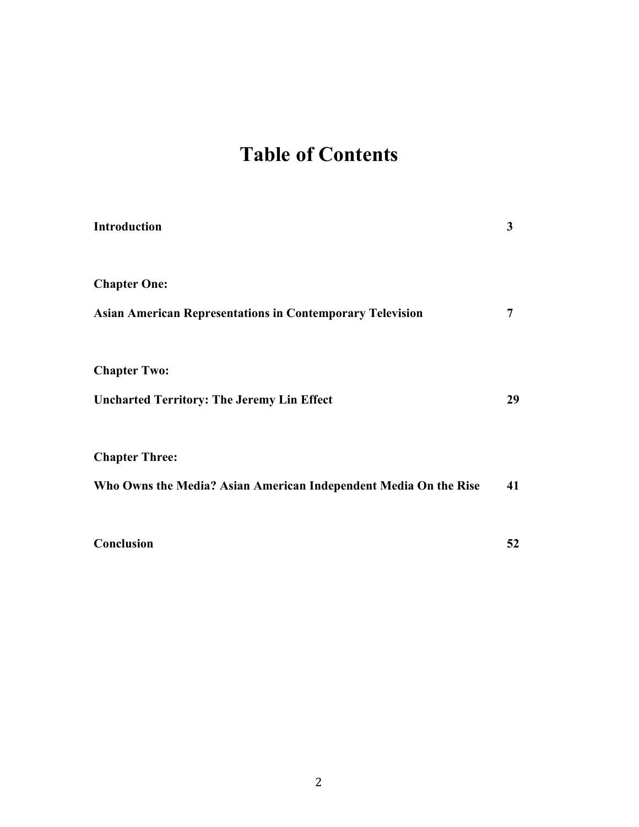# **Table of Contents**

| Introduction                                                     | 3  |
|------------------------------------------------------------------|----|
| <b>Chapter One:</b>                                              |    |
| <b>Asian American Representations in Contemporary Television</b> | 7  |
| <b>Chapter Two:</b>                                              |    |
| <b>Uncharted Territory: The Jeremy Lin Effect</b>                | 29 |
| <b>Chapter Three:</b>                                            |    |
| Who Owns the Media? Asian American Independent Media On the Rise | 41 |
| Conclusion                                                       | 52 |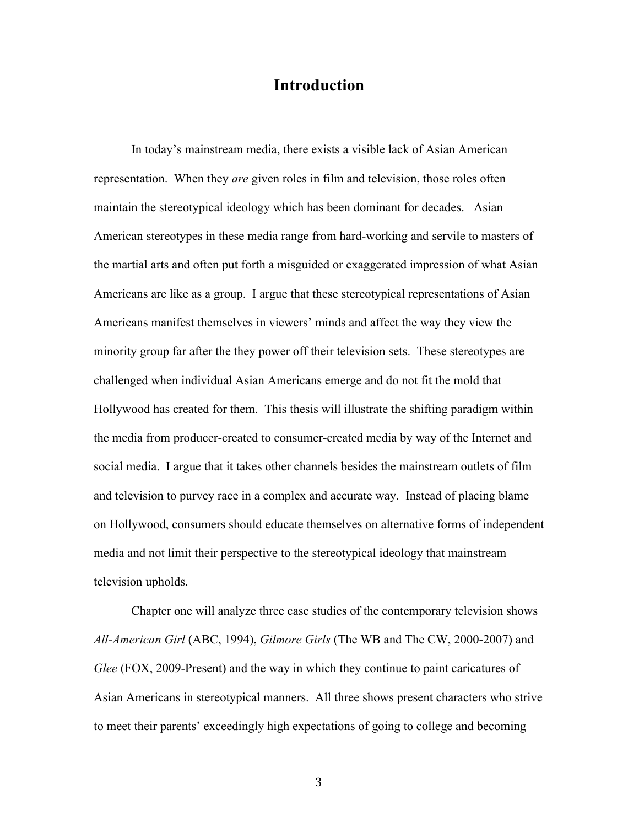### **Introduction**

In today's mainstream media, there exists a visible lack of Asian American representation. When they *are* given roles in film and television, those roles often maintain the stereotypical ideology which has been dominant for decades. Asian American stereotypes in these media range from hard-working and servile to masters of the martial arts and often put forth a misguided or exaggerated impression of what Asian Americans are like as a group. I argue that these stereotypical representations of Asian Americans manifest themselves in viewers' minds and affect the way they view the minority group far after the they power off their television sets. These stereotypes are challenged when individual Asian Americans emerge and do not fit the mold that Hollywood has created for them. This thesis will illustrate the shifting paradigm within the media from producer-created to consumer-created media by way of the Internet and social media. I argue that it takes other channels besides the mainstream outlets of film and television to purvey race in a complex and accurate way. Instead of placing blame on Hollywood, consumers should educate themselves on alternative forms of independent media and not limit their perspective to the stereotypical ideology that mainstream television upholds.

Chapter one will analyze three case studies of the contemporary television shows *All-American Girl* (ABC, 1994), *Gilmore Girls* (The WB and The CW, 2000-2007) and *Glee* (FOX, 2009-Present) and the way in which they continue to paint caricatures of Asian Americans in stereotypical manners. All three shows present characters who strive to meet their parents' exceedingly high expectations of going to college and becoming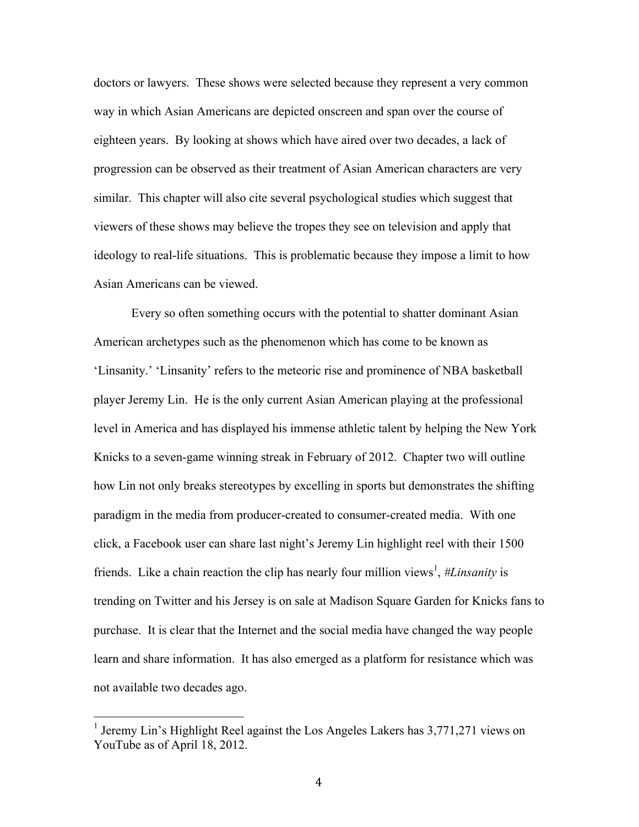doctors or lawyers. These shows were selected because they represent a very common way in which Asian Americans are depicted onscreen and span over the course of eighteen years. By looking at shows which have aired over two decades, a lack of progression can be observed as their treatment of Asian American characters are very similar. This chapter will also cite several psychological studies which suggest that viewers of these shows may believe the tropes they see on television and apply that ideology to real-life situations. This is problematic because they impose a limit to how Asian Americans can be viewed.

Every so often something occurs with the potential to shatter dominant Asian American archetypes such as the phenomenon which has come to be known as 'Linsanity.' 'Linsanity' refers to the meteoric rise and prominence of NBA basketball player Jeremy Lin. He is the only current Asian American playing at the professional level in America and has displayed his immense athletic talent by helping the New York Knicks to a seven-game winning streak in February of 2012. Chapter two will outline how Lin not only breaks stereotypes by excelling in sports but demonstrates the shifting paradigm in the media from producer-created to consumer-created media. With one click, a Facebook user can share last night's Jeremy Lin highlight reel with their 1500 friends. Like a chain reaction the clip has nearly four million views<sup>1</sup>, #Linsanity is trending on Twitter and his Jersey is on sale at Madison Square Garden for Knicks fans to purchase. It is clear that the Internet and the social media have changed the way people learn and share information. It has also emerged as a platform for resistance which was not available two decades ago.

<sup>&</sup>lt;sup>1</sup> Jeremy Lin's Highlight Reel against the Los Angeles Lakers has  $3,771,271$  views on YouTube as of April 18, 2012.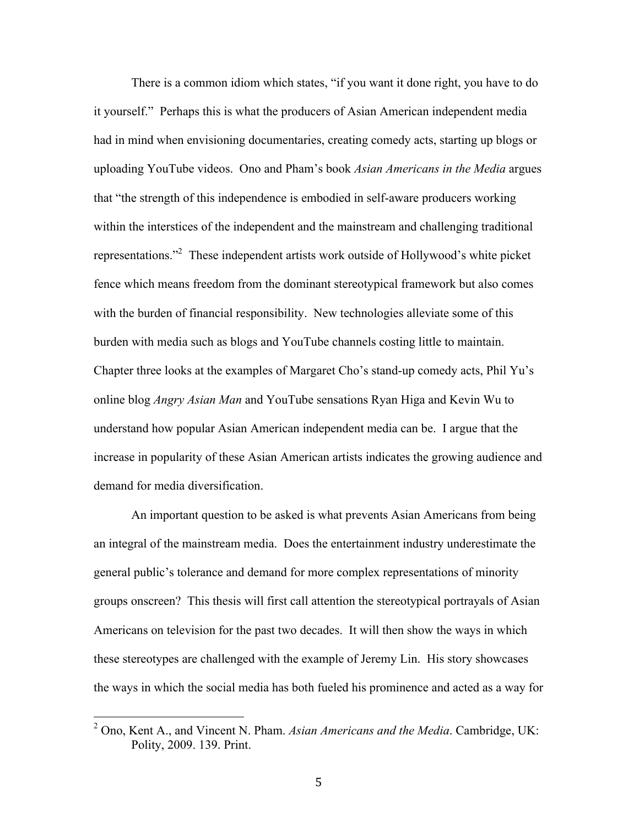There is a common idiom which states, "if you want it done right, you have to do it yourself." Perhaps this is what the producers of Asian American independent media had in mind when envisioning documentaries, creating comedy acts, starting up blogs or uploading YouTube videos. Ono and Pham's book *Asian Americans in the Media* argues that "the strength of this independence is embodied in self-aware producers working within the interstices of the independent and the mainstream and challenging traditional representations.<sup>32</sup> These independent artists work outside of Hollywood's white picket fence which means freedom from the dominant stereotypical framework but also comes with the burden of financial responsibility. New technologies alleviate some of this burden with media such as blogs and YouTube channels costing little to maintain. Chapter three looks at the examples of Margaret Cho's stand-up comedy acts, Phil Yu's online blog *Angry Asian Man* and YouTube sensations Ryan Higa and Kevin Wu to understand how popular Asian American independent media can be. I argue that the increase in popularity of these Asian American artists indicates the growing audience and demand for media diversification.

An important question to be asked is what prevents Asian Americans from being an integral of the mainstream media. Does the entertainment industry underestimate the general public's tolerance and demand for more complex representations of minority groups onscreen? This thesis will first call attention the stereotypical portrayals of Asian Americans on television for the past two decades. It will then show the ways in which these stereotypes are challenged with the example of Jeremy Lin. His story showcases the ways in which the social media has both fueled his prominence and acted as a way for

<sup>&</sup>lt;sup>2</sup> Ono, Kent A., and Vincent N. Pham. *Asian Americans and the Media*. Cambridge, UK: Polity, 2009. 139. Print.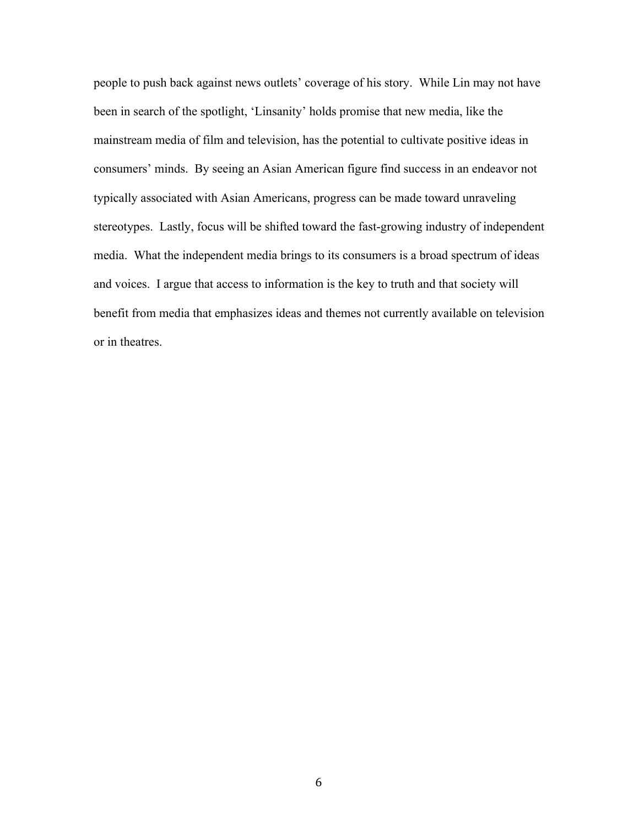people to push back against news outlets' coverage of his story. While Lin may not have been in search of the spotlight, 'Linsanity' holds promise that new media, like the mainstream media of film and television, has the potential to cultivate positive ideas in consumers' minds. By seeing an Asian American figure find success in an endeavor not typically associated with Asian Americans, progress can be made toward unraveling stereotypes. Lastly, focus will be shifted toward the fast-growing industry of independent media. What the independent media brings to its consumers is a broad spectrum of ideas and voices. I argue that access to information is the key to truth and that society will benefit from media that emphasizes ideas and themes not currently available on television or in theatres.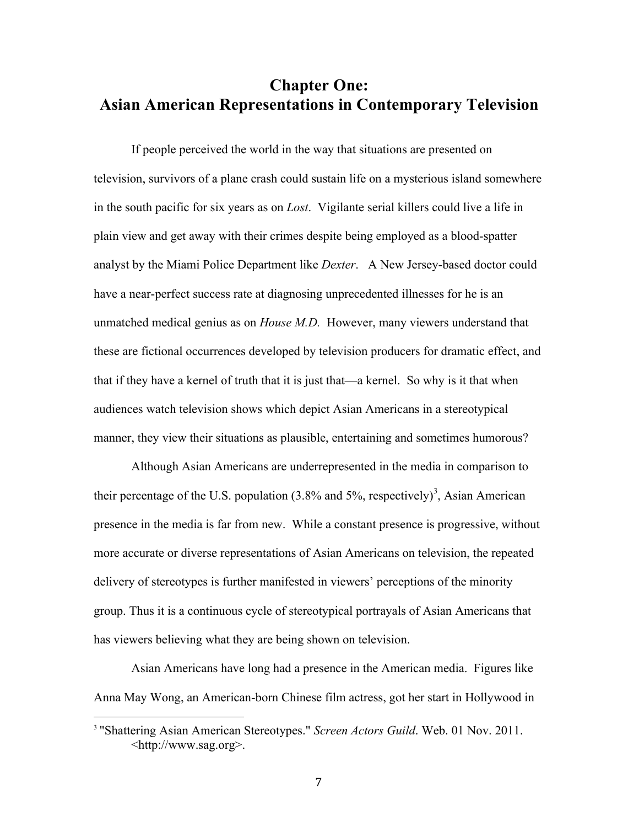## **Chapter One: Asian American Representations in Contemporary Television**

If people perceived the world in the way that situations are presented on television, survivors of a plane crash could sustain life on a mysterious island somewhere in the south pacific for six years as on *Lost*. Vigilante serial killers could live a life in plain view and get away with their crimes despite being employed as a blood-spatter analyst by the Miami Police Department like *Dexter*. A New Jersey-based doctor could have a near-perfect success rate at diagnosing unprecedented illnesses for he is an unmatched medical genius as on *House M.D.* However, many viewers understand that these are fictional occurrences developed by television producers for dramatic effect, and that if they have a kernel of truth that it is just that—a kernel. So why is it that when audiences watch television shows which depict Asian Americans in a stereotypical manner, they view their situations as plausible, entertaining and sometimes humorous?

Although Asian Americans are underrepresented in the media in comparison to their percentage of the U.S. population  $(3.8\%$  and 5%, respectively)<sup>3</sup>, Asian American presence in the media is far from new. While a constant presence is progressive, without more accurate or diverse representations of Asian Americans on television, the repeated delivery of stereotypes is further manifested in viewers' perceptions of the minority group. Thus it is a continuous cycle of stereotypical portrayals of Asian Americans that has viewers believing what they are being shown on television.

Asian Americans have long had a presence in the American media. Figures like Anna May Wong, an American-born Chinese film actress, got her start in Hollywood in

<sup>3</sup> "Shattering Asian American Stereotypes." *Screen Actors Guild*. Web. 01 Nov. 2011. <http://www.sag.org>.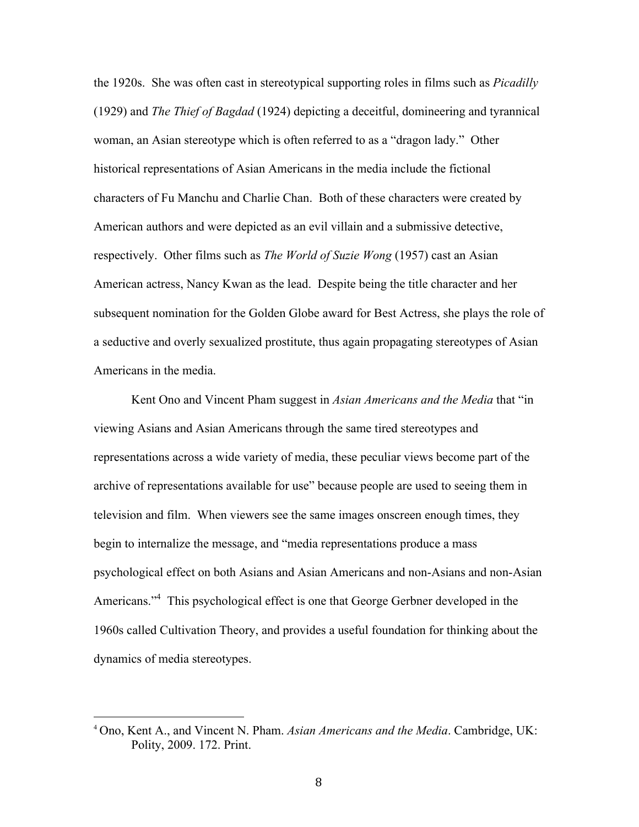the 1920s. She was often cast in stereotypical supporting roles in films such as *Picadilly*  (1929) and *The Thief of Bagdad* (1924) depicting a deceitful, domineering and tyrannical woman, an Asian stereotype which is often referred to as a "dragon lady." Other historical representations of Asian Americans in the media include the fictional characters of Fu Manchu and Charlie Chan. Both of these characters were created by American authors and were depicted as an evil villain and a submissive detective, respectively. Other films such as *The World of Suzie Wong* (1957) cast an Asian American actress, Nancy Kwan as the lead. Despite being the title character and her subsequent nomination for the Golden Globe award for Best Actress, she plays the role of a seductive and overly sexualized prostitute, thus again propagating stereotypes of Asian Americans in the media.

Kent Ono and Vincent Pham suggest in *Asian Americans and the Media* that "in viewing Asians and Asian Americans through the same tired stereotypes and representations across a wide variety of media, these peculiar views become part of the archive of representations available for use" because people are used to seeing them in television and film. When viewers see the same images onscreen enough times, they begin to internalize the message, and "media representations produce a mass psychological effect on both Asians and Asian Americans and non-Asians and non-Asian Americans."<sup>4</sup> This psychological effect is one that George Gerbner developed in the 1960s called Cultivation Theory, and provides a useful foundation for thinking about the dynamics of media stereotypes.

<sup>4</sup> Ono, Kent A., and Vincent N. Pham. *Asian Americans and the Media*. Cambridge, UK: Polity, 2009. 172. Print.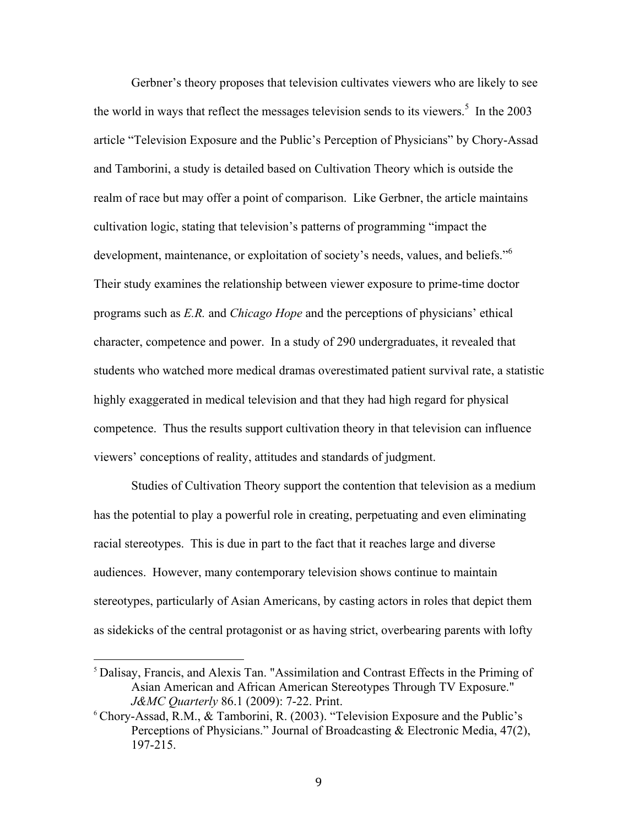Gerbner's theory proposes that television cultivates viewers who are likely to see the world in ways that reflect the messages television sends to its viewers.<sup>5</sup> In the 2003 article "Television Exposure and the Public's Perception of Physicians" by Chory-Assad and Tamborini, a study is detailed based on Cultivation Theory which is outside the realm of race but may offer a point of comparison. Like Gerbner, the article maintains cultivation logic, stating that television's patterns of programming "impact the development, maintenance, or exploitation of society's needs, values, and beliefs."<sup>6</sup> Their study examines the relationship between viewer exposure to prime-time doctor programs such as *E.R.* and *Chicago Hope* and the perceptions of physicians' ethical character, competence and power. In a study of 290 undergraduates, it revealed that students who watched more medical dramas overestimated patient survival rate, a statistic highly exaggerated in medical television and that they had high regard for physical competence. Thus the results support cultivation theory in that television can influence viewers' conceptions of reality, attitudes and standards of judgment.

Studies of Cultivation Theory support the contention that television as a medium has the potential to play a powerful role in creating, perpetuating and even eliminating racial stereotypes. This is due in part to the fact that it reaches large and diverse audiences. However, many contemporary television shows continue to maintain stereotypes, particularly of Asian Americans, by casting actors in roles that depict them as sidekicks of the central protagonist or as having strict, overbearing parents with lofty

<sup>5</sup> Dalisay, Francis, and Alexis Tan. "Assimilation and Contrast Effects in the Priming of Asian American and African American Stereotypes Through TV Exposure." *J&MC Quarterly* 86.1 (2009): 7-22. Print.

<sup>6</sup> Chory-Assad, R.M., & Tamborini, R. (2003). "Television Exposure and the Public's Perceptions of Physicians." Journal of Broadcasting & Electronic Media, 47(2), 197-215.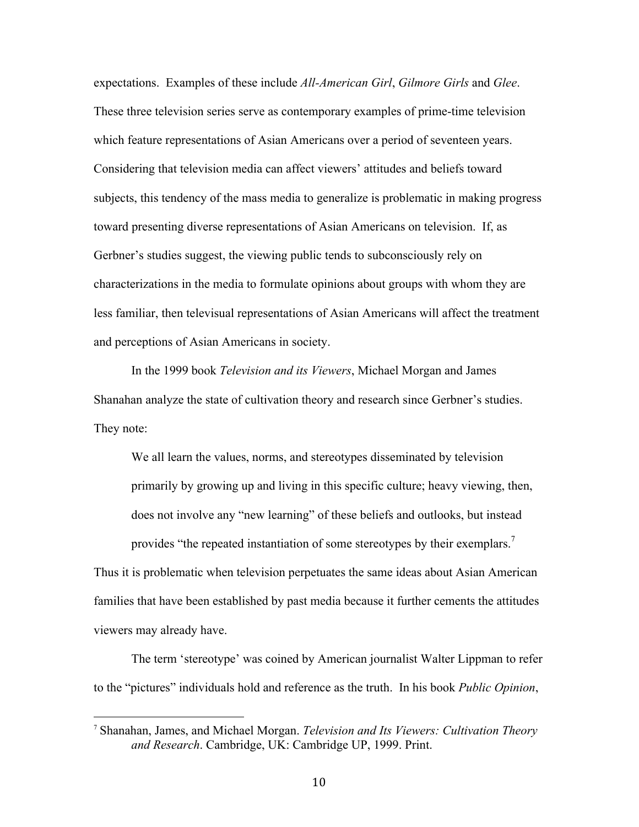expectations. Examples of these include *All-American Girl*, *Gilmore Girls* and *Glee*. These three television series serve as contemporary examples of prime-time television which feature representations of Asian Americans over a period of seventeen years. Considering that television media can affect viewers' attitudes and beliefs toward subjects, this tendency of the mass media to generalize is problematic in making progress toward presenting diverse representations of Asian Americans on television. If, as Gerbner's studies suggest, the viewing public tends to subconsciously rely on characterizations in the media to formulate opinions about groups with whom they are less familiar, then televisual representations of Asian Americans will affect the treatment and perceptions of Asian Americans in society.

In the 1999 book *Television and its Viewers*, Michael Morgan and James Shanahan analyze the state of cultivation theory and research since Gerbner's studies. They note:

We all learn the values, norms, and stereotypes disseminated by television primarily by growing up and living in this specific culture; heavy viewing, then, does not involve any "new learning" of these beliefs and outlooks, but instead provides "the repeated instantiation of some stereotypes by their exemplars.<sup>7</sup>

Thus it is problematic when television perpetuates the same ideas about Asian American families that have been established by past media because it further cements the attitudes viewers may already have.

The term 'stereotype' was coined by American journalist Walter Lippman to refer to the "pictures" individuals hold and reference as the truth. In his book *Public Opinion*,

<sup>7</sup> Shanahan, James, and Michael Morgan. *Television and Its Viewers: Cultivation Theory and Research*. Cambridge, UK: Cambridge UP, 1999. Print.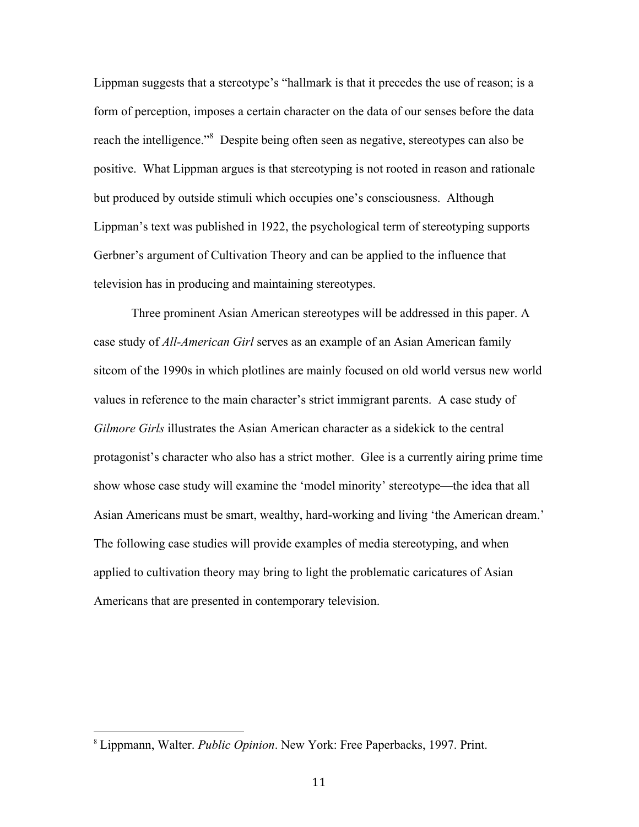Lippman suggests that a stereotype's "hallmark is that it precedes the use of reason; is a form of perception, imposes a certain character on the data of our senses before the data reach the intelligence."<sup>8</sup> Despite being often seen as negative, stereotypes can also be positive. What Lippman argues is that stereotyping is not rooted in reason and rationale but produced by outside stimuli which occupies one's consciousness. Although Lippman's text was published in 1922, the psychological term of stereotyping supports Gerbner's argument of Cultivation Theory and can be applied to the influence that television has in producing and maintaining stereotypes.

Three prominent Asian American stereotypes will be addressed in this paper. A case study of *All-American Girl* serves as an example of an Asian American family sitcom of the 1990s in which plotlines are mainly focused on old world versus new world values in reference to the main character's strict immigrant parents. A case study of *Gilmore Girls* illustrates the Asian American character as a sidekick to the central protagonist's character who also has a strict mother. Glee is a currently airing prime time show whose case study will examine the 'model minority' stereotype—the idea that all Asian Americans must be smart, wealthy, hard-working and living 'the American dream.' The following case studies will provide examples of media stereotyping, and when applied to cultivation theory may bring to light the problematic caricatures of Asian Americans that are presented in contemporary television.

<sup>8</sup> Lippmann, Walter. *Public Opinion*. New York: Free Paperbacks, 1997. Print.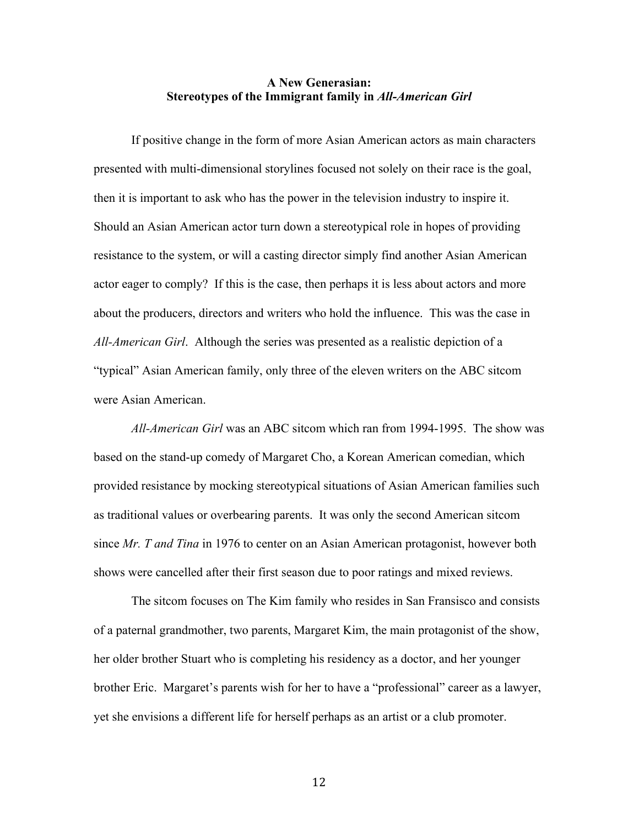#### **A New Generasian: Stereotypes of the Immigrant family in** *All-American Girl*

If positive change in the form of more Asian American actors as main characters presented with multi-dimensional storylines focused not solely on their race is the goal, then it is important to ask who has the power in the television industry to inspire it. Should an Asian American actor turn down a stereotypical role in hopes of providing resistance to the system, or will a casting director simply find another Asian American actor eager to comply? If this is the case, then perhaps it is less about actors and more about the producers, directors and writers who hold the influence. This was the case in *All-American Girl*. Although the series was presented as a realistic depiction of a "typical" Asian American family, only three of the eleven writers on the ABC sitcom were Asian American.

*All-American Girl* was an ABC sitcom which ran from 1994-1995. The show was based on the stand-up comedy of Margaret Cho, a Korean American comedian, which provided resistance by mocking stereotypical situations of Asian American families such as traditional values or overbearing parents. It was only the second American sitcom since *Mr. T and Tina* in 1976 to center on an Asian American protagonist, however both shows were cancelled after their first season due to poor ratings and mixed reviews.

The sitcom focuses on The Kim family who resides in San Fransisco and consists of a paternal grandmother, two parents, Margaret Kim, the main protagonist of the show, her older brother Stuart who is completing his residency as a doctor, and her younger brother Eric. Margaret's parents wish for her to have a "professional" career as a lawyer, yet she envisions a different life for herself perhaps as an artist or a club promoter.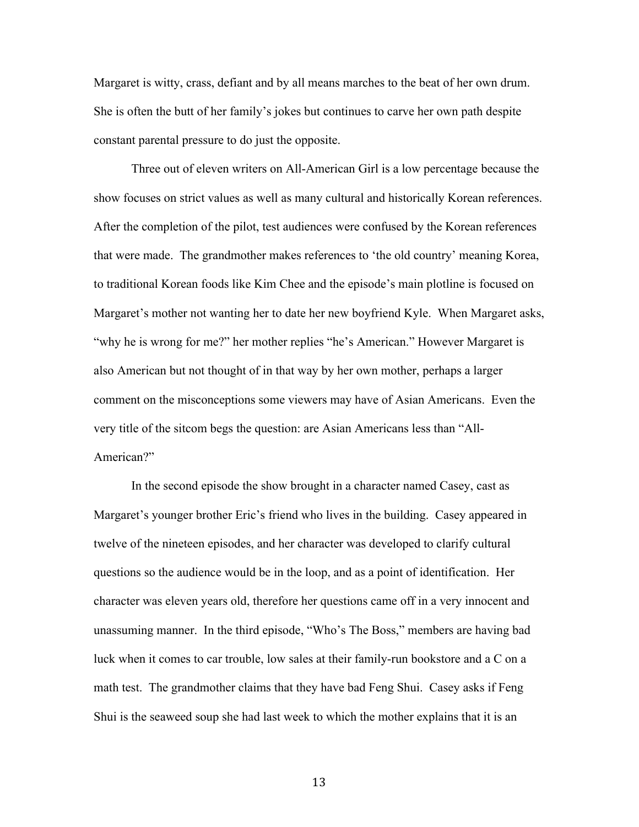Margaret is witty, crass, defiant and by all means marches to the beat of her own drum. She is often the butt of her family's jokes but continues to carve her own path despite constant parental pressure to do just the opposite.

Three out of eleven writers on All-American Girl is a low percentage because the show focuses on strict values as well as many cultural and historically Korean references. After the completion of the pilot, test audiences were confused by the Korean references that were made. The grandmother makes references to 'the old country' meaning Korea, to traditional Korean foods like Kim Chee and the episode's main plotline is focused on Margaret's mother not wanting her to date her new boyfriend Kyle. When Margaret asks, "why he is wrong for me?" her mother replies "he's American." However Margaret is also American but not thought of in that way by her own mother, perhaps a larger comment on the misconceptions some viewers may have of Asian Americans. Even the very title of the sitcom begs the question: are Asian Americans less than "All-American?"

In the second episode the show brought in a character named Casey, cast as Margaret's younger brother Eric's friend who lives in the building. Casey appeared in twelve of the nineteen episodes, and her character was developed to clarify cultural questions so the audience would be in the loop, and as a point of identification. Her character was eleven years old, therefore her questions came off in a very innocent and unassuming manner. In the third episode, "Who's The Boss," members are having bad luck when it comes to car trouble, low sales at their family-run bookstore and a C on a math test. The grandmother claims that they have bad Feng Shui. Casey asks if Feng Shui is the seaweed soup she had last week to which the mother explains that it is an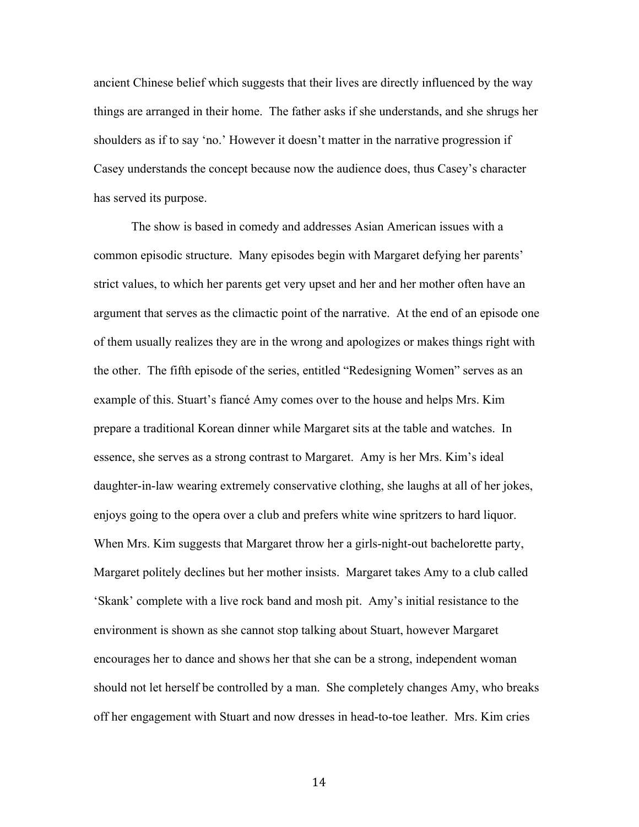ancient Chinese belief which suggests that their lives are directly influenced by the way things are arranged in their home. The father asks if she understands, and she shrugs her shoulders as if to say 'no.' However it doesn't matter in the narrative progression if Casey understands the concept because now the audience does, thus Casey's character has served its purpose.

The show is based in comedy and addresses Asian American issues with a common episodic structure. Many episodes begin with Margaret defying her parents' strict values, to which her parents get very upset and her and her mother often have an argument that serves as the climactic point of the narrative. At the end of an episode one of them usually realizes they are in the wrong and apologizes or makes things right with the other. The fifth episode of the series, entitled "Redesigning Women" serves as an example of this. Stuart's fiancé Amy comes over to the house and helps Mrs. Kim prepare a traditional Korean dinner while Margaret sits at the table and watches. In essence, she serves as a strong contrast to Margaret. Amy is her Mrs. Kim's ideal daughter-in-law wearing extremely conservative clothing, she laughs at all of her jokes, enjoys going to the opera over a club and prefers white wine spritzers to hard liquor. When Mrs. Kim suggests that Margaret throw her a girls-night-out bachelorette party, Margaret politely declines but her mother insists. Margaret takes Amy to a club called 'Skank' complete with a live rock band and mosh pit. Amy's initial resistance to the environment is shown as she cannot stop talking about Stuart, however Margaret encourages her to dance and shows her that she can be a strong, independent woman should not let herself be controlled by a man. She completely changes Amy, who breaks off her engagement with Stuart and now dresses in head-to-toe leather. Mrs. Kim cries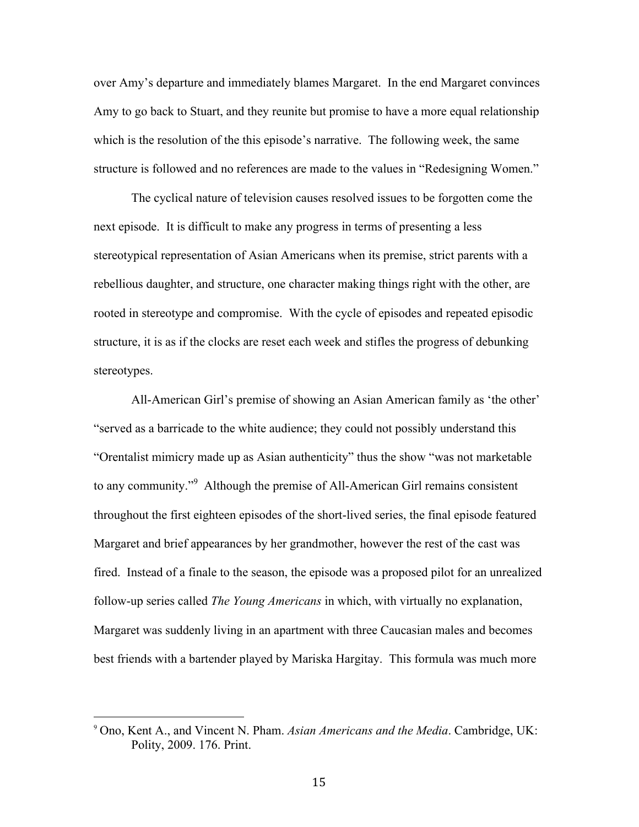over Amy's departure and immediately blames Margaret. In the end Margaret convinces Amy to go back to Stuart, and they reunite but promise to have a more equal relationship which is the resolution of the this episode's narrative. The following week, the same structure is followed and no references are made to the values in "Redesigning Women."

The cyclical nature of television causes resolved issues to be forgotten come the next episode. It is difficult to make any progress in terms of presenting a less stereotypical representation of Asian Americans when its premise, strict parents with a rebellious daughter, and structure, one character making things right with the other, are rooted in stereotype and compromise. With the cycle of episodes and repeated episodic structure, it is as if the clocks are reset each week and stifles the progress of debunking stereotypes.

All-American Girl's premise of showing an Asian American family as 'the other' "served as a barricade to the white audience; they could not possibly understand this "Orentalist mimicry made up as Asian authenticity" thus the show "was not marketable to any community."<sup>9</sup> Although the premise of All-American Girl remains consistent throughout the first eighteen episodes of the short-lived series, the final episode featured Margaret and brief appearances by her grandmother, however the rest of the cast was fired. Instead of a finale to the season, the episode was a proposed pilot for an unrealized follow-up series called *The Young Americans* in which, with virtually no explanation, Margaret was suddenly living in an apartment with three Caucasian males and becomes best friends with a bartender played by Mariska Hargitay. This formula was much more

<sup>9</sup> Ono, Kent A., and Vincent N. Pham. *Asian Americans and the Media*. Cambridge, UK: Polity, 2009. 176. Print.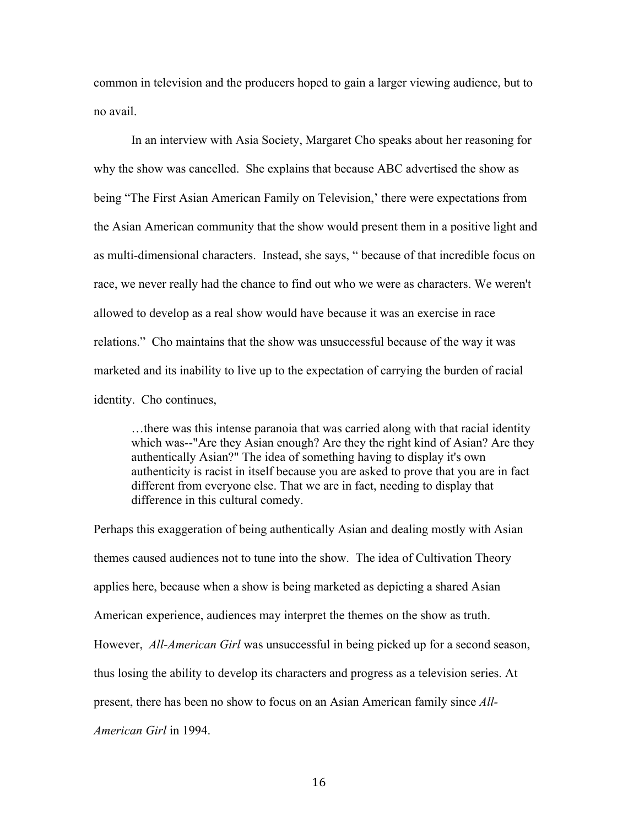common in television and the producers hoped to gain a larger viewing audience, but to no avail.

In an interview with Asia Society, Margaret Cho speaks about her reasoning for why the show was cancelled. She explains that because ABC advertised the show as being "The First Asian American Family on Television,' there were expectations from the Asian American community that the show would present them in a positive light and as multi-dimensional characters. Instead, she says, " because of that incredible focus on race, we never really had the chance to find out who we were as characters. We weren't allowed to develop as a real show would have because it was an exercise in race relations." Cho maintains that the show was unsuccessful because of the way it was marketed and its inability to live up to the expectation of carrying the burden of racial identity. Cho continues,

…there was this intense paranoia that was carried along with that racial identity which was--"Are they Asian enough? Are they the right kind of Asian? Are they authentically Asian?" The idea of something having to display it's own authenticity is racist in itself because you are asked to prove that you are in fact different from everyone else. That we are in fact, needing to display that difference in this cultural comedy.

Perhaps this exaggeration of being authentically Asian and dealing mostly with Asian themes caused audiences not to tune into the show. The idea of Cultivation Theory applies here, because when a show is being marketed as depicting a shared Asian American experience, audiences may interpret the themes on the show as truth. However, *All-American Girl* was unsuccessful in being picked up for a second season, thus losing the ability to develop its characters and progress as a television series. At present, there has been no show to focus on an Asian American family since *All-American Girl* in 1994.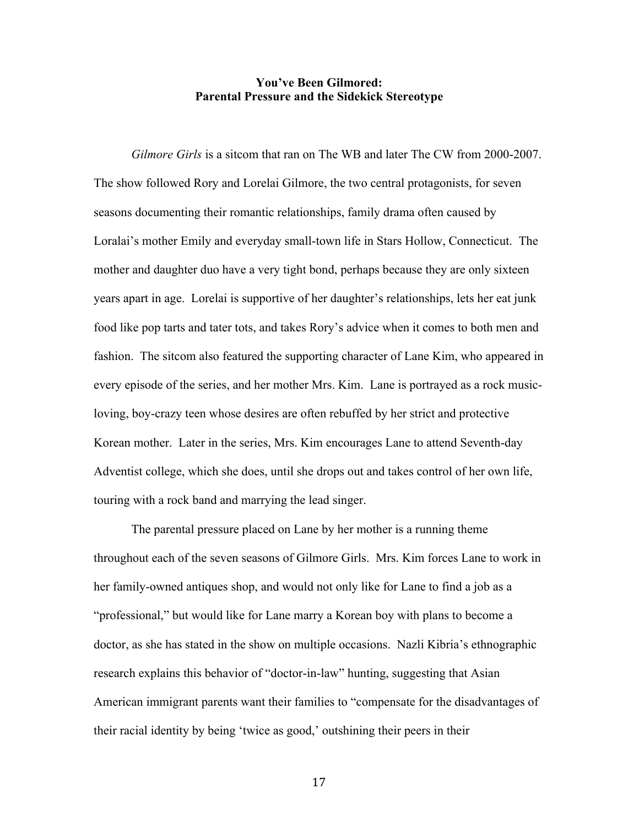#### **You've Been Gilmored: Parental Pressure and the Sidekick Stereotype**

*Gilmore Girls* is a sitcom that ran on The WB and later The CW from 2000-2007. The show followed Rory and Lorelai Gilmore, the two central protagonists, for seven seasons documenting their romantic relationships, family drama often caused by Loralai's mother Emily and everyday small-town life in Stars Hollow, Connecticut. The mother and daughter duo have a very tight bond, perhaps because they are only sixteen years apart in age. Lorelai is supportive of her daughter's relationships, lets her eat junk food like pop tarts and tater tots, and takes Rory's advice when it comes to both men and fashion. The sitcom also featured the supporting character of Lane Kim, who appeared in every episode of the series, and her mother Mrs. Kim. Lane is portrayed as a rock musicloving, boy-crazy teen whose desires are often rebuffed by her strict and protective Korean mother. Later in the series, Mrs. Kim encourages Lane to attend Seventh-day Adventist college, which she does, until she drops out and takes control of her own life, touring with a rock band and marrying the lead singer.

The parental pressure placed on Lane by her mother is a running theme throughout each of the seven seasons of Gilmore Girls. Mrs. Kim forces Lane to work in her family-owned antiques shop, and would not only like for Lane to find a job as a "professional," but would like for Lane marry a Korean boy with plans to become a doctor, as she has stated in the show on multiple occasions. Nazli Kibria's ethnographic research explains this behavior of "doctor-in-law" hunting, suggesting that Asian American immigrant parents want their families to "compensate for the disadvantages of their racial identity by being 'twice as good,' outshining their peers in their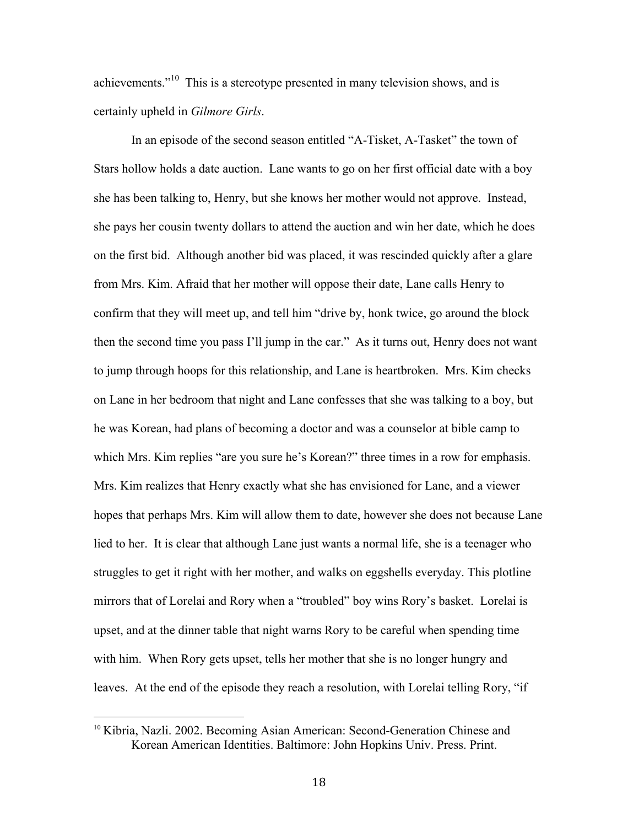achievements."<sup>10</sup> This is a stereotype presented in many television shows, and is certainly upheld in *Gilmore Girls*.

In an episode of the second season entitled "A-Tisket, A-Tasket" the town of Stars hollow holds a date auction. Lane wants to go on her first official date with a boy she has been talking to, Henry, but she knows her mother would not approve. Instead, she pays her cousin twenty dollars to attend the auction and win her date, which he does on the first bid. Although another bid was placed, it was rescinded quickly after a glare from Mrs. Kim. Afraid that her mother will oppose their date, Lane calls Henry to confirm that they will meet up, and tell him "drive by, honk twice, go around the block then the second time you pass I'll jump in the car." As it turns out, Henry does not want to jump through hoops for this relationship, and Lane is heartbroken. Mrs. Kim checks on Lane in her bedroom that night and Lane confesses that she was talking to a boy, but he was Korean, had plans of becoming a doctor and was a counselor at bible camp to which Mrs. Kim replies "are you sure he's Korean?" three times in a row for emphasis. Mrs. Kim realizes that Henry exactly what she has envisioned for Lane, and a viewer hopes that perhaps Mrs. Kim will allow them to date, however she does not because Lane lied to her. It is clear that although Lane just wants a normal life, she is a teenager who struggles to get it right with her mother, and walks on eggshells everyday. This plotline mirrors that of Lorelai and Rory when a "troubled" boy wins Rory's basket. Lorelai is upset, and at the dinner table that night warns Rory to be careful when spending time with him. When Rory gets upset, tells her mother that she is no longer hungry and leaves. At the end of the episode they reach a resolution, with Lorelai telling Rory, "if

<sup>&</sup>lt;sup>10</sup> Kibria, Nazli. 2002. Becoming Asian American: Second-Generation Chinese and Korean American Identities. Baltimore: John Hopkins Univ. Press. Print.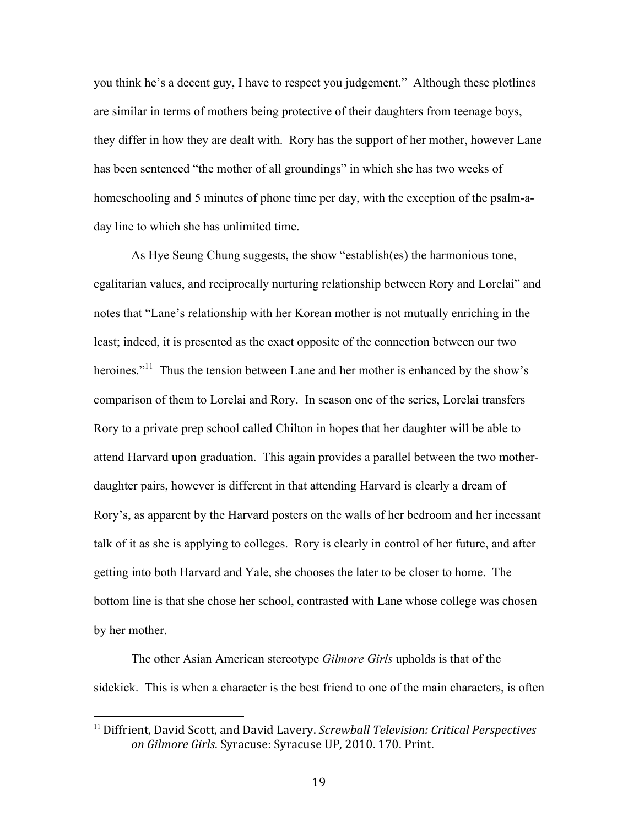you think he's a decent guy, I have to respect you judgement." Although these plotlines are similar in terms of mothers being protective of their daughters from teenage boys, they differ in how they are dealt with. Rory has the support of her mother, however Lane has been sentenced "the mother of all groundings" in which she has two weeks of homeschooling and 5 minutes of phone time per day, with the exception of the psalm-aday line to which she has unlimited time.

As Hye Seung Chung suggests, the show "establish(es) the harmonious tone, egalitarian values, and reciprocally nurturing relationship between Rory and Lorelai" and notes that "Lane's relationship with her Korean mother is not mutually enriching in the least; indeed, it is presented as the exact opposite of the connection between our two heroines."<sup>11</sup> Thus the tension between Lane and her mother is enhanced by the show's comparison of them to Lorelai and Rory. In season one of the series, Lorelai transfers Rory to a private prep school called Chilton in hopes that her daughter will be able to attend Harvard upon graduation. This again provides a parallel between the two motherdaughter pairs, however is different in that attending Harvard is clearly a dream of Rory's, as apparent by the Harvard posters on the walls of her bedroom and her incessant talk of it as she is applying to colleges. Rory is clearly in control of her future, and after getting into both Harvard and Yale, she chooses the later to be closer to home. The bottom line is that she chose her school, contrasted with Lane whose college was chosen by her mother.

The other Asian American stereotype *Gilmore Girls* upholds is that of the sidekick. This is when a character is the best friend to one of the main characters, is often

<sup>&</sup>lt;sup>11</sup> Diffrient, David Scott, and David Lavery. *Screwball Television: Critical Perspectives* on Gilmore Girls. Syracuse: Syracuse UP, 2010. 170. Print.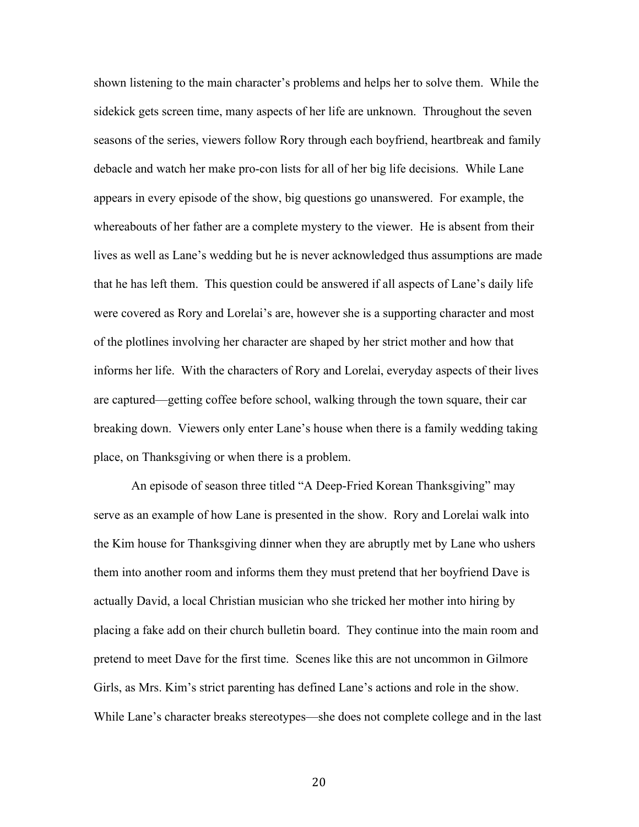shown listening to the main character's problems and helps her to solve them. While the sidekick gets screen time, many aspects of her life are unknown. Throughout the seven seasons of the series, viewers follow Rory through each boyfriend, heartbreak and family debacle and watch her make pro-con lists for all of her big life decisions. While Lane appears in every episode of the show, big questions go unanswered. For example, the whereabouts of her father are a complete mystery to the viewer. He is absent from their lives as well as Lane's wedding but he is never acknowledged thus assumptions are made that he has left them. This question could be answered if all aspects of Lane's daily life were covered as Rory and Lorelai's are, however she is a supporting character and most of the plotlines involving her character are shaped by her strict mother and how that informs her life. With the characters of Rory and Lorelai, everyday aspects of their lives are captured—getting coffee before school, walking through the town square, their car breaking down. Viewers only enter Lane's house when there is a family wedding taking place, on Thanksgiving or when there is a problem.

An episode of season three titled "A Deep-Fried Korean Thanksgiving" may serve as an example of how Lane is presented in the show. Rory and Lorelai walk into the Kim house for Thanksgiving dinner when they are abruptly met by Lane who ushers them into another room and informs them they must pretend that her boyfriend Dave is actually David, a local Christian musician who she tricked her mother into hiring by placing a fake add on their church bulletin board. They continue into the main room and pretend to meet Dave for the first time. Scenes like this are not uncommon in Gilmore Girls, as Mrs. Kim's strict parenting has defined Lane's actions and role in the show. While Lane's character breaks stereotypes—she does not complete college and in the last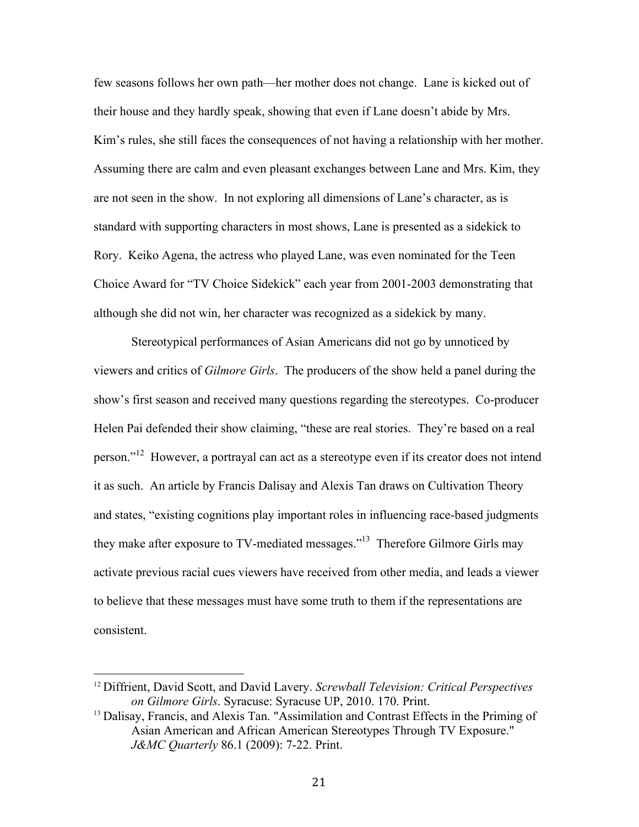few seasons follows her own path—her mother does not change. Lane is kicked out of their house and they hardly speak, showing that even if Lane doesn't abide by Mrs. Kim's rules, she still faces the consequences of not having a relationship with her mother. Assuming there are calm and even pleasant exchanges between Lane and Mrs. Kim, they are not seen in the show. In not exploring all dimensions of Lane's character, as is standard with supporting characters in most shows, Lane is presented as a sidekick to Rory. Keiko Agena, the actress who played Lane, was even nominated for the Teen Choice Award for "TV Choice Sidekick" each year from 2001-2003 demonstrating that although she did not win, her character was recognized as a sidekick by many.

Stereotypical performances of Asian Americans did not go by unnoticed by viewers and critics of *Gilmore Girls*. The producers of the show held a panel during the show's first season and received many questions regarding the stereotypes. Co-producer Helen Pai defended their show claiming, "these are real stories. They're based on a real person."<sup>12</sup> However, a portrayal can act as a stereotype even if its creator does not intend it as such. An article by Francis Dalisay and Alexis Tan draws on Cultivation Theory and states, "existing cognitions play important roles in influencing race-based judgments they make after exposure to TV-mediated messages."13 Therefore Gilmore Girls may activate previous racial cues viewers have received from other media, and leads a viewer to believe that these messages must have some truth to them if the representations are consistent.

<sup>12</sup> Diffrient, David Scott, and David Lavery. *Screwball Television: Critical Perspectives on Gilmore Girls*. Syracuse: Syracuse UP, 2010. 170. Print.

<sup>&</sup>lt;sup>13</sup> Dalisay, Francis, and Alexis Tan. "Assimilation and Contrast Effects in the Priming of Asian American and African American Stereotypes Through TV Exposure." *J&MC Quarterly* 86.1 (2009): 7-22. Print.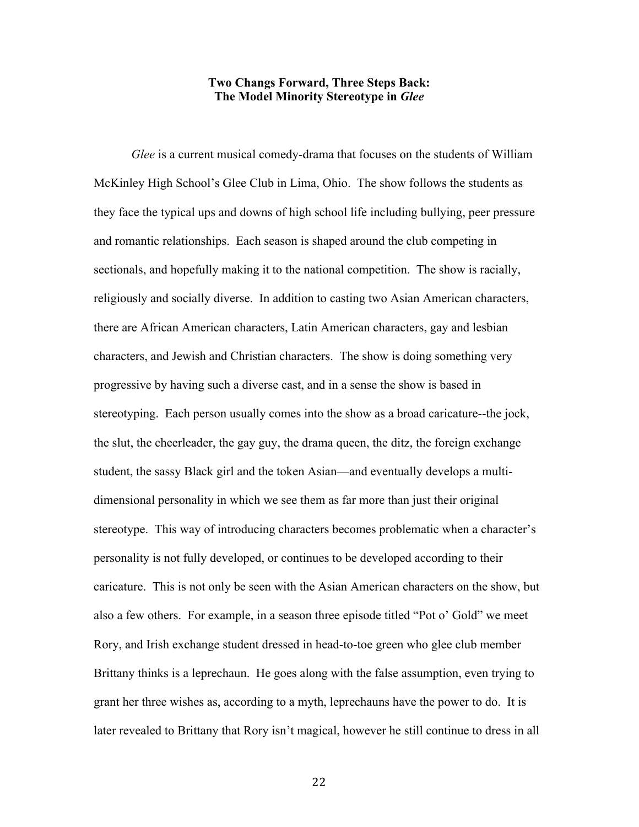#### **Two Changs Forward, Three Steps Back: The Model Minority Stereotype in** *Glee*

*Glee* is a current musical comedy-drama that focuses on the students of William McKinley High School's Glee Club in Lima, Ohio. The show follows the students as they face the typical ups and downs of high school life including bullying, peer pressure and romantic relationships. Each season is shaped around the club competing in sectionals, and hopefully making it to the national competition. The show is racially, religiously and socially diverse. In addition to casting two Asian American characters, there are African American characters, Latin American characters, gay and lesbian characters, and Jewish and Christian characters. The show is doing something very progressive by having such a diverse cast, and in a sense the show is based in stereotyping. Each person usually comes into the show as a broad caricature--the jock, the slut, the cheerleader, the gay guy, the drama queen, the ditz, the foreign exchange student, the sassy Black girl and the token Asian—and eventually develops a multidimensional personality in which we see them as far more than just their original stereotype. This way of introducing characters becomes problematic when a character's personality is not fully developed, or continues to be developed according to their caricature. This is not only be seen with the Asian American characters on the show, but also a few others. For example, in a season three episode titled "Pot o' Gold" we meet Rory, and Irish exchange student dressed in head-to-toe green who glee club member Brittany thinks is a leprechaun. He goes along with the false assumption, even trying to grant her three wishes as, according to a myth, leprechauns have the power to do. It is later revealed to Brittany that Rory isn't magical, however he still continue to dress in all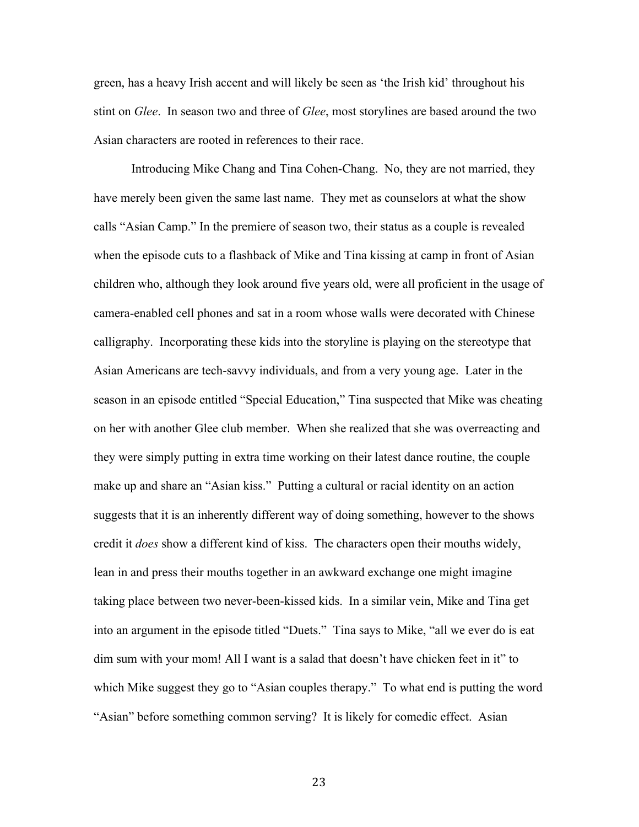green, has a heavy Irish accent and will likely be seen as 'the Irish kid' throughout his stint on *Glee*. In season two and three of *Glee*, most storylines are based around the two Asian characters are rooted in references to their race.

Introducing Mike Chang and Tina Cohen-Chang. No, they are not married, they have merely been given the same last name. They met as counselors at what the show calls "Asian Camp." In the premiere of season two, their status as a couple is revealed when the episode cuts to a flashback of Mike and Tina kissing at camp in front of Asian children who, although they look around five years old, were all proficient in the usage of camera-enabled cell phones and sat in a room whose walls were decorated with Chinese calligraphy. Incorporating these kids into the storyline is playing on the stereotype that Asian Americans are tech-savvy individuals, and from a very young age. Later in the season in an episode entitled "Special Education," Tina suspected that Mike was cheating on her with another Glee club member. When she realized that she was overreacting and they were simply putting in extra time working on their latest dance routine, the couple make up and share an "Asian kiss." Putting a cultural or racial identity on an action suggests that it is an inherently different way of doing something, however to the shows credit it *does* show a different kind of kiss. The characters open their mouths widely, lean in and press their mouths together in an awkward exchange one might imagine taking place between two never-been-kissed kids. In a similar vein, Mike and Tina get into an argument in the episode titled "Duets." Tina says to Mike, "all we ever do is eat dim sum with your mom! All I want is a salad that doesn't have chicken feet in it" to which Mike suggest they go to "Asian couples therapy." To what end is putting the word "Asian" before something common serving? It is likely for comedic effect. Asian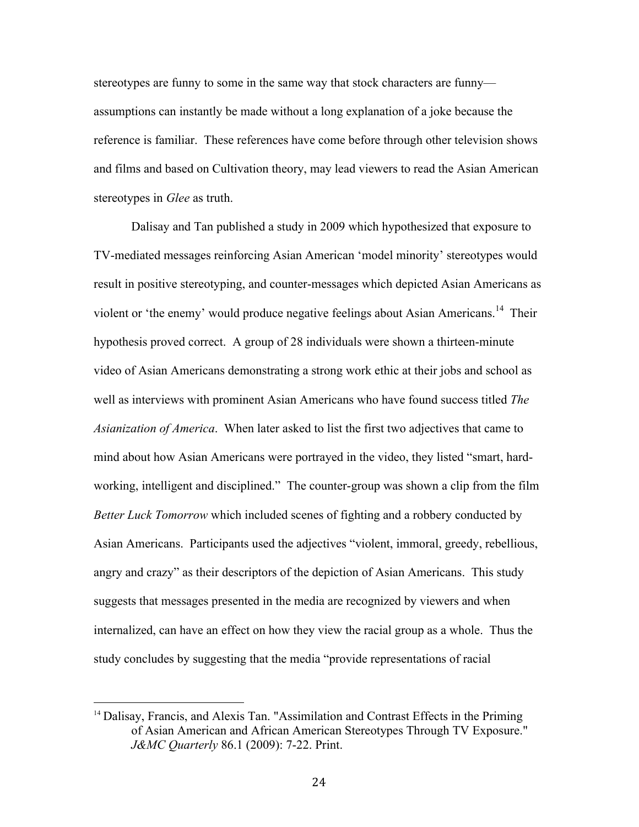stereotypes are funny to some in the same way that stock characters are funny assumptions can instantly be made without a long explanation of a joke because the reference is familiar. These references have come before through other television shows and films and based on Cultivation theory, may lead viewers to read the Asian American stereotypes in *Glee* as truth.

Dalisay and Tan published a study in 2009 which hypothesized that exposure to TV-mediated messages reinforcing Asian American 'model minority' stereotypes would result in positive stereotyping, and counter-messages which depicted Asian Americans as violent or 'the enemy' would produce negative feelings about Asian Americans.<sup>14</sup> Their hypothesis proved correct. A group of 28 individuals were shown a thirteen-minute video of Asian Americans demonstrating a strong work ethic at their jobs and school as well as interviews with prominent Asian Americans who have found success titled *The Asianization of America*. When later asked to list the first two adjectives that came to mind about how Asian Americans were portrayed in the video, they listed "smart, hardworking, intelligent and disciplined." The counter-group was shown a clip from the film *Better Luck Tomorrow* which included scenes of fighting and a robbery conducted by Asian Americans. Participants used the adjectives "violent, immoral, greedy, rebellious, angry and crazy" as their descriptors of the depiction of Asian Americans. This study suggests that messages presented in the media are recognized by viewers and when internalized, can have an effect on how they view the racial group as a whole. Thus the study concludes by suggesting that the media "provide representations of racial

<sup>&</sup>lt;sup>14</sup> Dalisay, Francis, and Alexis Tan. "Assimilation and Contrast Effects in the Priming of Asian American and African American Stereotypes Through TV Exposure." *J&MC Quarterly* 86.1 (2009): 7-22. Print.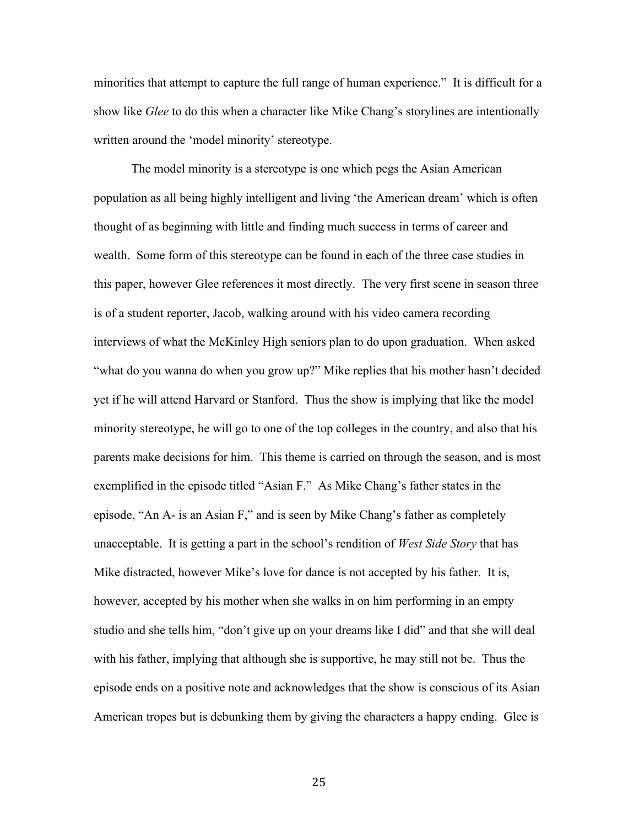minorities that attempt to capture the full range of human experience." It is difficult for a show like *Glee* to do this when a character like Mike Chang's storylines are intentionally written around the 'model minority' stereotype.

The model minority is a stereotype is one which pegs the Asian American population as all being highly intelligent and living 'the American dream' which is often thought of as beginning with little and finding much success in terms of career and wealth. Some form of this stereotype can be found in each of the three case studies in this paper, however Glee references it most directly. The very first scene in season three is of a student reporter, Jacob, walking around with his video camera recording interviews of what the McKinley High seniors plan to do upon graduation. When asked "what do you wanna do when you grow up?" Mike replies that his mother hasn't decided yet if he will attend Harvard or Stanford. Thus the show is implying that like the model minority stereotype, he will go to one of the top colleges in the country, and also that his parents make decisions for him. This theme is carried on through the season, and is most exemplified in the episode titled "Asian F." As Mike Chang's father states in the episode, "An A- is an Asian F," and is seen by Mike Chang's father as completely unacceptable. It is getting a part in the school's rendition of *West Side Story* that has Mike distracted, however Mike's love for dance is not accepted by his father. It is, however, accepted by his mother when she walks in on him performing in an empty studio and she tells him, "don't give up on your dreams like I did" and that she will deal with his father, implying that although she is supportive, he may still not be. Thus the episode ends on a positive note and acknowledges that the show is conscious of its Asian American tropes but is debunking them by giving the characters a happy ending. Glee is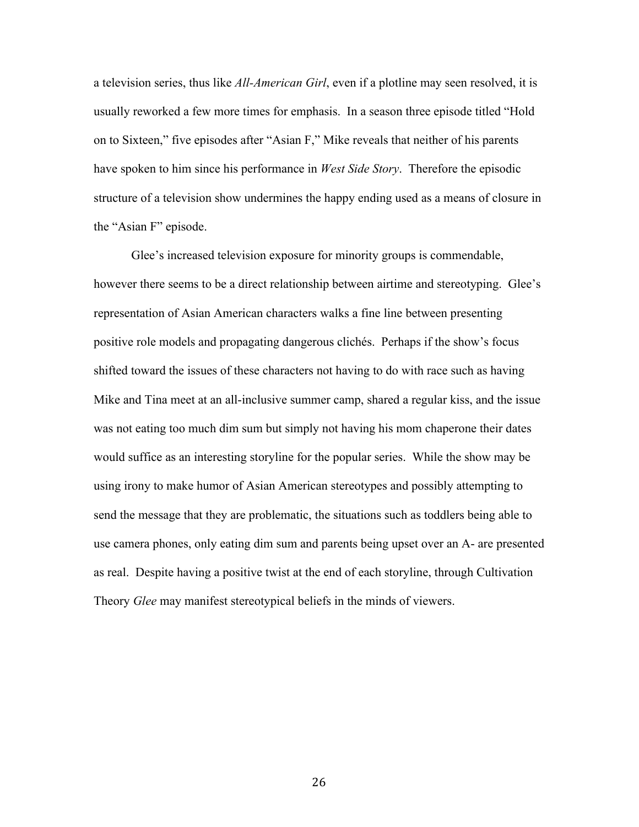a television series, thus like *All-American Girl*, even if a plotline may seen resolved, it is usually reworked a few more times for emphasis. In a season three episode titled "Hold on to Sixteen," five episodes after "Asian F," Mike reveals that neither of his parents have spoken to him since his performance in *West Side Story*. Therefore the episodic structure of a television show undermines the happy ending used as a means of closure in the "Asian F" episode.

Glee's increased television exposure for minority groups is commendable, however there seems to be a direct relationship between airtime and stereotyping. Glee's representation of Asian American characters walks a fine line between presenting positive role models and propagating dangerous clichés. Perhaps if the show's focus shifted toward the issues of these characters not having to do with race such as having Mike and Tina meet at an all-inclusive summer camp, shared a regular kiss, and the issue was not eating too much dim sum but simply not having his mom chaperone their dates would suffice as an interesting storyline for the popular series. While the show may be using irony to make humor of Asian American stereotypes and possibly attempting to send the message that they are problematic, the situations such as toddlers being able to use camera phones, only eating dim sum and parents being upset over an A- are presented as real. Despite having a positive twist at the end of each storyline, through Cultivation Theory *Glee* may manifest stereotypical beliefs in the minds of viewers.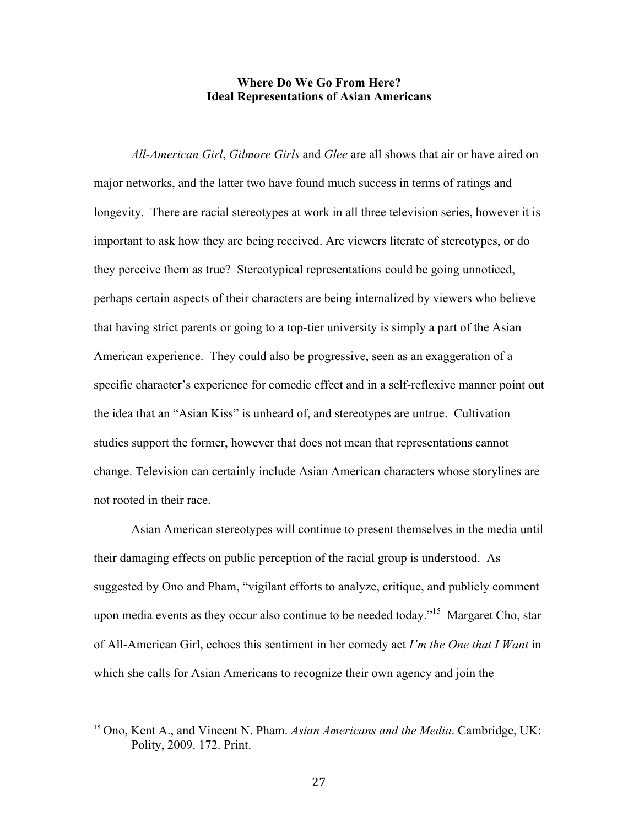#### **Where Do We Go From Here? Ideal Representations of Asian Americans**

*All-American Girl*, *Gilmore Girls* and *Glee* are all shows that air or have aired on major networks, and the latter two have found much success in terms of ratings and longevity. There are racial stereotypes at work in all three television series, however it is important to ask how they are being received. Are viewers literate of stereotypes, or do they perceive them as true? Stereotypical representations could be going unnoticed, perhaps certain aspects of their characters are being internalized by viewers who believe that having strict parents or going to a top-tier university is simply a part of the Asian American experience. They could also be progressive, seen as an exaggeration of a specific character's experience for comedic effect and in a self-reflexive manner point out the idea that an "Asian Kiss" is unheard of, and stereotypes are untrue. Cultivation studies support the former, however that does not mean that representations cannot change. Television can certainly include Asian American characters whose storylines are not rooted in their race.

Asian American stereotypes will continue to present themselves in the media until their damaging effects on public perception of the racial group is understood. As suggested by Ono and Pham, "vigilant efforts to analyze, critique, and publicly comment upon media events as they occur also continue to be needed today."<sup>15</sup> Margaret Cho, star of All-American Girl, echoes this sentiment in her comedy act *I'm the One that I Want* in which she calls for Asian Americans to recognize their own agency and join the

<sup>15</sup> Ono, Kent A., and Vincent N. Pham. *Asian Americans and the Media*. Cambridge, UK: Polity, 2009. 172. Print.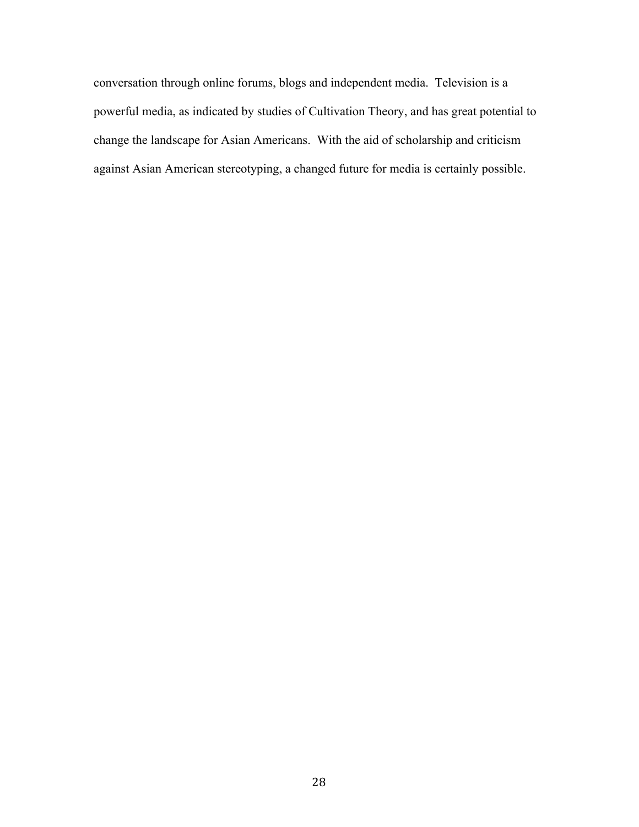conversation through online forums, blogs and independent media. Television is a powerful media, as indicated by studies of Cultivation Theory, and has great potential to change the landscape for Asian Americans. With the aid of scholarship and criticism against Asian American stereotyping, a changed future for media is certainly possible.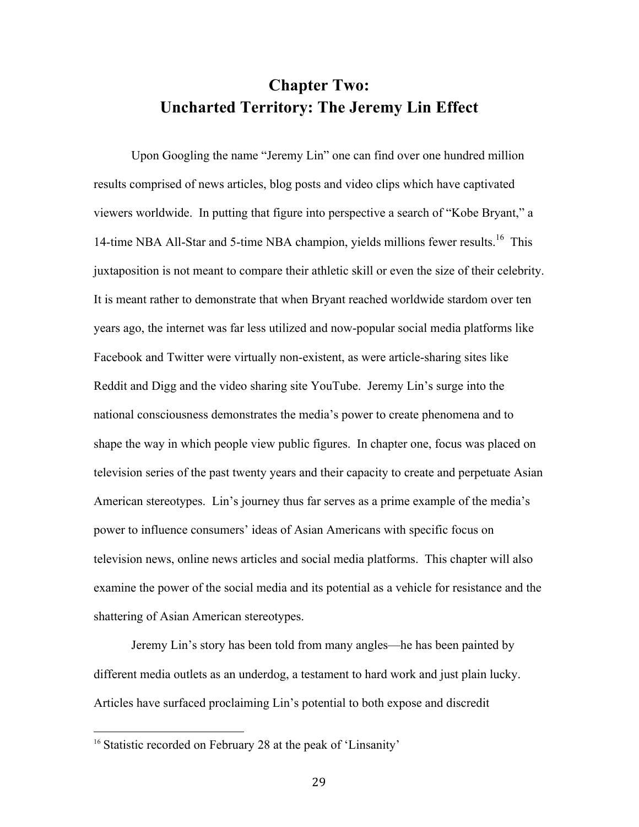## **Chapter Two: Uncharted Territory: The Jeremy Lin Effect**

Upon Googling the name "Jeremy Lin" one can find over one hundred million results comprised of news articles, blog posts and video clips which have captivated viewers worldwide. In putting that figure into perspective a search of "Kobe Bryant," a 14-time NBA All-Star and 5-time NBA champion, yields millions fewer results.<sup>16</sup> This juxtaposition is not meant to compare their athletic skill or even the size of their celebrity. It is meant rather to demonstrate that when Bryant reached worldwide stardom over ten years ago, the internet was far less utilized and now-popular social media platforms like Facebook and Twitter were virtually non-existent, as were article-sharing sites like Reddit and Digg and the video sharing site YouTube. Jeremy Lin's surge into the national consciousness demonstrates the media's power to create phenomena and to shape the way in which people view public figures. In chapter one, focus was placed on television series of the past twenty years and their capacity to create and perpetuate Asian American stereotypes. Lin's journey thus far serves as a prime example of the media's power to influence consumers' ideas of Asian Americans with specific focus on television news, online news articles and social media platforms. This chapter will also examine the power of the social media and its potential as a vehicle for resistance and the shattering of Asian American stereotypes.

Jeremy Lin's story has been told from many angles—he has been painted by different media outlets as an underdog, a testament to hard work and just plain lucky. Articles have surfaced proclaiming Lin's potential to both expose and discredit

<sup>&</sup>lt;sup>16</sup> Statistic recorded on February 28 at the peak of 'Linsanity'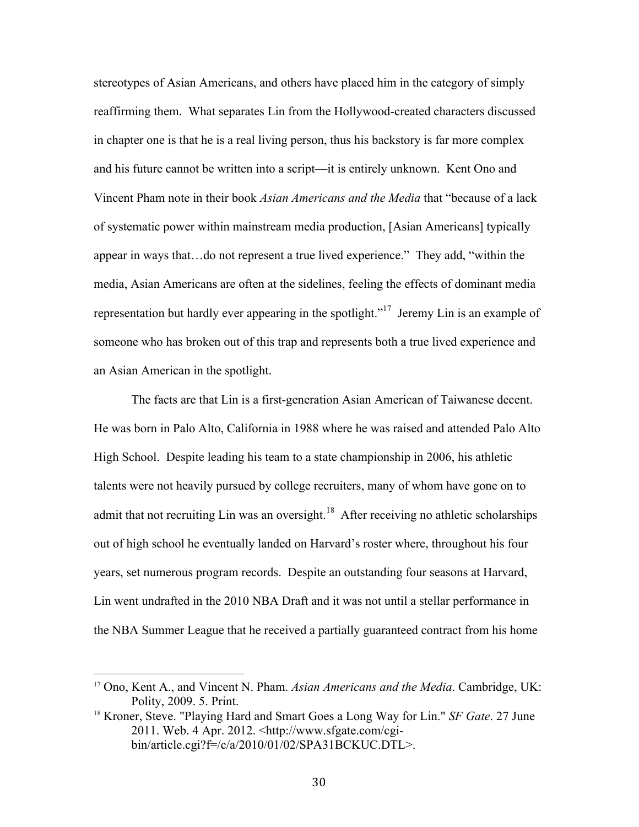stereotypes of Asian Americans, and others have placed him in the category of simply reaffirming them. What separates Lin from the Hollywood-created characters discussed in chapter one is that he is a real living person, thus his backstory is far more complex and his future cannot be written into a script—it is entirely unknown. Kent Ono and Vincent Pham note in their book *Asian Americans and the Media* that "because of a lack of systematic power within mainstream media production, [Asian Americans] typically appear in ways that…do not represent a true lived experience." They add, "within the media, Asian Americans are often at the sidelines, feeling the effects of dominant media representation but hardly ever appearing in the spotlight.<sup> $17$ </sup> Jeremy Lin is an example of someone who has broken out of this trap and represents both a true lived experience and an Asian American in the spotlight.

The facts are that Lin is a first-generation Asian American of Taiwanese decent. He was born in Palo Alto, California in 1988 where he was raised and attended Palo Alto High School. Despite leading his team to a state championship in 2006, his athletic talents were not heavily pursued by college recruiters, many of whom have gone on to admit that not recruiting Lin was an oversight.<sup>18</sup> After receiving no athletic scholarships out of high school he eventually landed on Harvard's roster where, throughout his four years, set numerous program records. Despite an outstanding four seasons at Harvard, Lin went undrafted in the 2010 NBA Draft and it was not until a stellar performance in the NBA Summer League that he received a partially guaranteed contract from his home

<sup>17</sup> Ono, Kent A., and Vincent N. Pham. *Asian Americans and the Media*. Cambridge, UK: Polity, 2009. 5. Print.

<sup>18</sup> Kroner, Steve. "Playing Hard and Smart Goes a Long Way for Lin." *SF Gate*. 27 June 2011. Web. 4 Apr. 2012. <http://www.sfgate.com/cgibin/article.cgi?f=/c/a/2010/01/02/SPA31BCKUC.DTL>.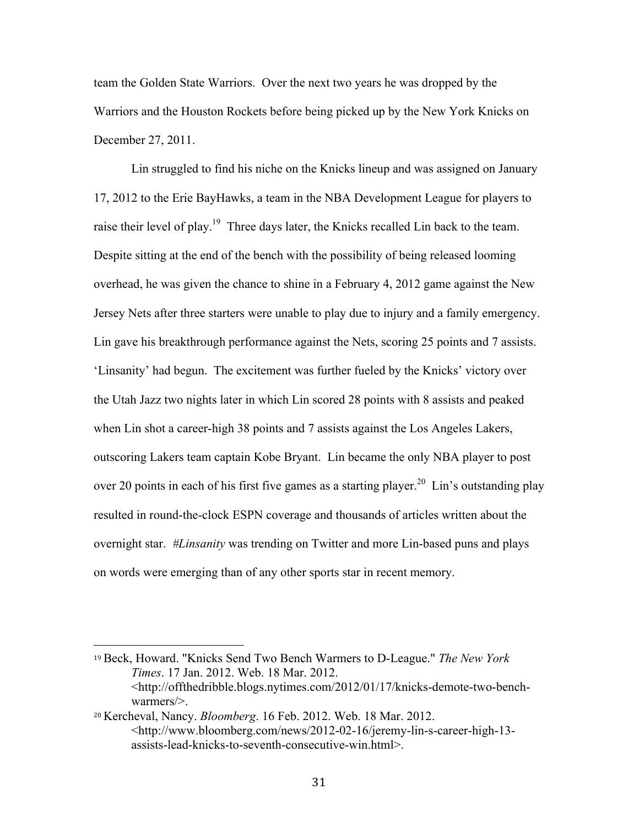team the Golden State Warriors. Over the next two years he was dropped by the Warriors and the Houston Rockets before being picked up by the New York Knicks on December 27, 2011.

Lin struggled to find his niche on the Knicks lineup and was assigned on January 17, 2012 to the Erie BayHawks, a team in the NBA Development League for players to raise their level of play.<sup>19</sup> Three days later, the Knicks recalled Lin back to the team. Despite sitting at the end of the bench with the possibility of being released looming overhead, he was given the chance to shine in a February 4, 2012 game against the New Jersey Nets after three starters were unable to play due to injury and a family emergency. Lin gave his breakthrough performance against the Nets, scoring 25 points and 7 assists. 'Linsanity' had begun. The excitement was further fueled by the Knicks' victory over the Utah Jazz two nights later in which Lin scored 28 points with 8 assists and peaked when Lin shot a career-high 38 points and 7 assists against the Los Angeles Lakers, outscoring Lakers team captain Kobe Bryant. Lin became the only NBA player to post over 20 points in each of his first five games as a starting player.<sup>20</sup> Lin's outstanding play resulted in round-the-clock ESPN coverage and thousands of articles written about the overnight star. *#Linsanity* was trending on Twitter and more Lin-based puns and plays on words were emerging than of any other sports star in recent memory.

<sup>19</sup> Beck, Howard. "Knicks Send Two Bench Warmers to D-League." *The New York Times*. 17 Jan. 2012. Web. 18 Mar. 2012. <http://offthedribble.blogs.nytimes.com/2012/01/17/knicks-demote-two-benchwarmers/>.

<sup>20</sup> Kercheval, Nancy. *Bloomberg*. 16 Feb. 2012. Web. 18 Mar. 2012. <http://www.bloomberg.com/news/2012-02-16/jeremy-lin-s-career-high-13 assists-lead-knicks-to-seventh-consecutive-win.html>.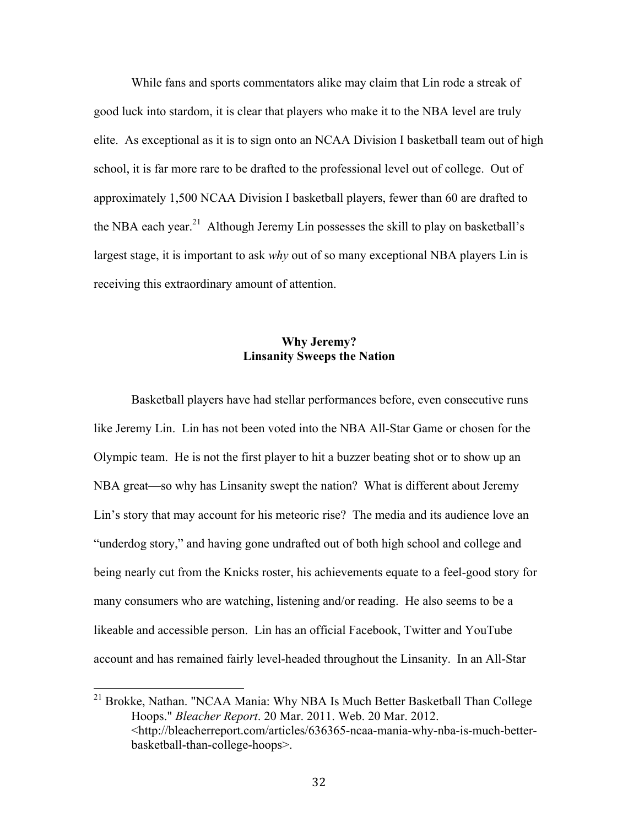While fans and sports commentators alike may claim that Lin rode a streak of good luck into stardom, it is clear that players who make it to the NBA level are truly elite. As exceptional as it is to sign onto an NCAA Division I basketball team out of high school, it is far more rare to be drafted to the professional level out of college. Out of approximately 1,500 NCAA Division I basketball players, fewer than 60 are drafted to the NBA each year.<sup>21</sup> Although Jeremy Lin possesses the skill to play on basketball's largest stage, it is important to ask *why* out of so many exceptional NBA players Lin is receiving this extraordinary amount of attention.

#### **Why Jeremy? Linsanity Sweeps the Nation**

Basketball players have had stellar performances before, even consecutive runs like Jeremy Lin. Lin has not been voted into the NBA All-Star Game or chosen for the Olympic team. He is not the first player to hit a buzzer beating shot or to show up an NBA great—so why has Linsanity swept the nation? What is different about Jeremy Lin's story that may account for his meteoric rise? The media and its audience love an "underdog story," and having gone undrafted out of both high school and college and being nearly cut from the Knicks roster, his achievements equate to a feel-good story for many consumers who are watching, listening and/or reading. He also seems to be a likeable and accessible person. Lin has an official Facebook, Twitter and YouTube account and has remained fairly level-headed throughout the Linsanity. In an All-Star

<sup>&</sup>lt;sup>21</sup> Brokke, Nathan. "NCAA Mania: Why NBA Is Much Better Basketball Than College Hoops." *Bleacher Report*. 20 Mar. 2011. Web. 20 Mar. 2012. <http://bleacherreport.com/articles/636365-ncaa-mania-why-nba-is-much-betterbasketball-than-college-hoops>.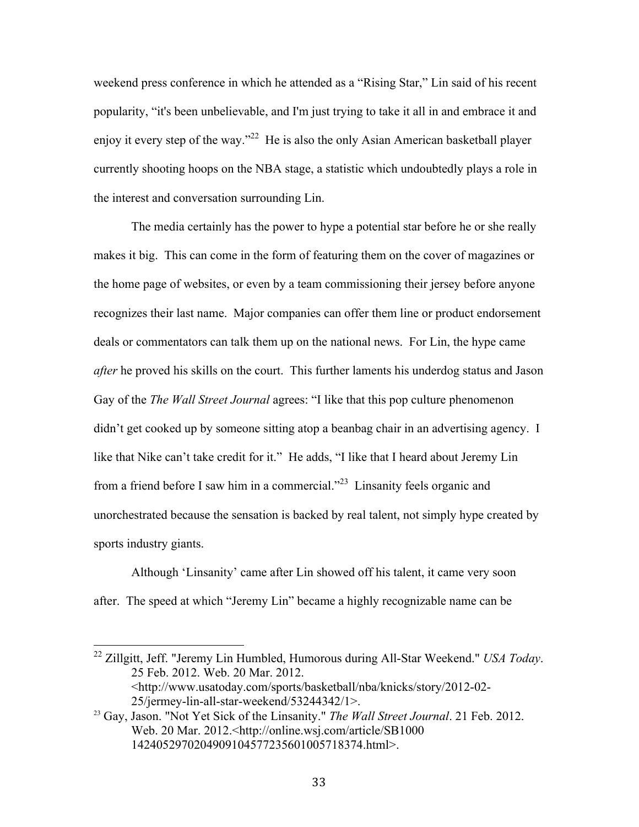weekend press conference in which he attended as a "Rising Star," Lin said of his recent popularity, "it's been unbelievable, and I'm just trying to take it all in and embrace it and enjoy it every step of the way."<sup>22</sup> He is also the only Asian American basketball player currently shooting hoops on the NBA stage, a statistic which undoubtedly plays a role in the interest and conversation surrounding Lin.

The media certainly has the power to hype a potential star before he or she really makes it big. This can come in the form of featuring them on the cover of magazines or the home page of websites, or even by a team commissioning their jersey before anyone recognizes their last name. Major companies can offer them line or product endorsement deals or commentators can talk them up on the national news. For Lin, the hype came *after* he proved his skills on the court. This further laments his underdog status and Jason Gay of the *The Wall Street Journal* agrees: "I like that this pop culture phenomenon didn't get cooked up by someone sitting atop a beanbag chair in an advertising agency. I like that Nike can't take credit for it." He adds, "I like that I heard about Jeremy Lin from a friend before I saw him in a commercial."23 Linsanity feels organic and unorchestrated because the sensation is backed by real talent, not simply hype created by sports industry giants.

Although 'Linsanity' came after Lin showed off his talent, it came very soon after. The speed at which "Jeremy Lin" became a highly recognizable name can be

<sup>&</sup>lt;sup>22</sup> Zillgitt, Jeff. "Jeremy Lin Humbled, Humorous during All-Star Weekend." *USA Today*. 25 Feb. 2012. Web. 20 Mar. 2012. <http://www.usatoday.com/sports/basketball/nba/knicks/story/2012-02- 25/jermey-lin-all-star-weekend/53244342/1>.

<sup>23</sup> Gay, Jason. "Not Yet Sick of the Linsanity." *The Wall Street Journal*. 21 Feb. 2012. Web. 20 Mar. 2012.<http://online.wsj.com/article/SB1000 1424052970204909104577235601005718374.html>.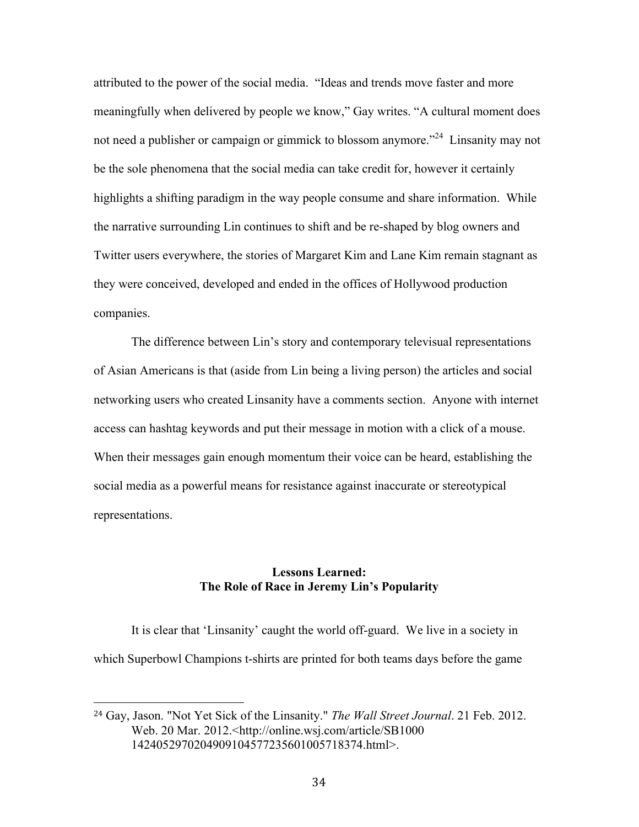attributed to the power of the social media. "Ideas and trends move faster and more meaningfully when delivered by people we know," Gay writes. "A cultural moment does not need a publisher or campaign or gimmick to blossom anymore.<sup>224</sup> Linsanity may not be the sole phenomena that the social media can take credit for, however it certainly highlights a shifting paradigm in the way people consume and share information. While the narrative surrounding Lin continues to shift and be re-shaped by blog owners and Twitter users everywhere, the stories of Margaret Kim and Lane Kim remain stagnant as they were conceived, developed and ended in the offices of Hollywood production companies.

The difference between Lin's story and contemporary televisual representations of Asian Americans is that (aside from Lin being a living person) the articles and social networking users who created Linsanity have a comments section. Anyone with internet access can hashtag keywords and put their message in motion with a click of a mouse. When their messages gain enough momentum their voice can be heard, establishing the social media as a powerful means for resistance against inaccurate or stereotypical representations.

#### **Lessons Learned: The Role of Race in Jeremy Lin's Popularity**

It is clear that 'Linsanity' caught the world off-guard. We live in a society in which Superbowl Champions t-shirts are printed for both teams days before the game

<sup>24</sup> Gay, Jason. "Not Yet Sick of the Linsanity." *The Wall Street Journal*. 21 Feb. 2012. Web. 20 Mar. 2012.<http://online.wsj.com/article/SB1000 1424052970204909104577235601005718374.html>.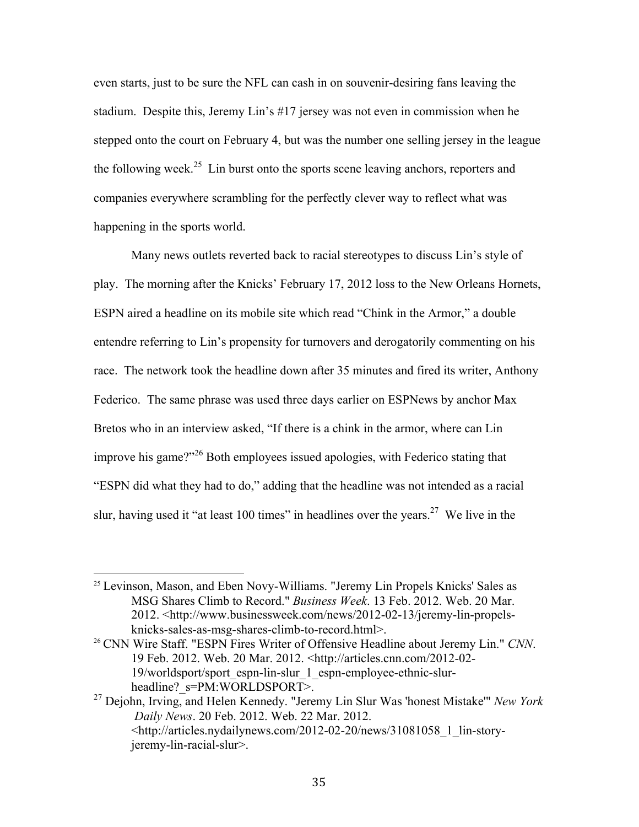even starts, just to be sure the NFL can cash in on souvenir-desiring fans leaving the stadium. Despite this, Jeremy Lin's #17 jersey was not even in commission when he stepped onto the court on February 4, but was the number one selling jersey in the league the following week.<sup>25</sup> Lin burst onto the sports scene leaving anchors, reporters and companies everywhere scrambling for the perfectly clever way to reflect what was happening in the sports world.

Many news outlets reverted back to racial stereotypes to discuss Lin's style of play. The morning after the Knicks' February 17, 2012 loss to the New Orleans Hornets, ESPN aired a headline on its mobile site which read "Chink in the Armor," a double entendre referring to Lin's propensity for turnovers and derogatorily commenting on his race. The network took the headline down after 35 minutes and fired its writer, Anthony Federico. The same phrase was used three days earlier on ESPNews by anchor Max Bretos who in an interview asked, "If there is a chink in the armor, where can Lin improve his game?"<sup>26</sup> Both employees issued apologies, with Federico stating that "ESPN did what they had to do," adding that the headline was not intended as a racial slur, having used it "at least 100 times" in headlines over the years.<sup>27</sup> We live in the

 $25$  Levinson, Mason, and Eben Novy-Williams. "Jeremy Lin Propels Knicks' Sales as MSG Shares Climb to Record." *Business Week*. 13 Feb. 2012. Web. 20 Mar. 2012. <http://www.businessweek.com/news/2012-02-13/jeremy-lin-propelsknicks-sales-as-msg-shares-climb-to-record.html>.

<sup>26</sup> CNN Wire Staff. "ESPN Fires Writer of Offensive Headline about Jeremy Lin." *CNN*. 19 Feb. 2012. Web. 20 Mar. 2012. <http://articles.cnn.com/2012-02- 19/worldsport/sport\_espn-lin-slur\_1\_espn-employee-ethnic-slurheadline? s=PM:WORLDSPORT>.

<sup>27</sup> Dejohn, Irving, and Helen Kennedy. "Jeremy Lin Slur Was 'honest Mistake'" *New York Daily News*. 20 Feb. 2012. Web. 22 Mar. 2012. <http://articles.nydailynews.com/2012-02-20/news/31081058\_1\_lin-storyjeremy-lin-racial-slur>.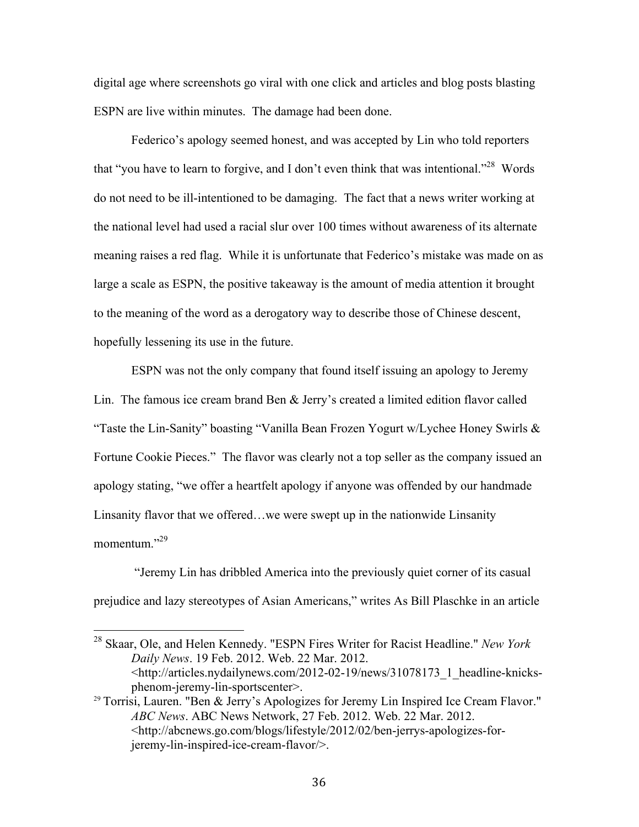digital age where screenshots go viral with one click and articles and blog posts blasting ESPN are live within minutes. The damage had been done.

Federico's apology seemed honest, and was accepted by Lin who told reporters that "you have to learn to forgive, and I don't even think that was intentional."<sup>28</sup> Words do not need to be ill-intentioned to be damaging. The fact that a news writer working at the national level had used a racial slur over 100 times without awareness of its alternate meaning raises a red flag. While it is unfortunate that Federico's mistake was made on as large a scale as ESPN, the positive takeaway is the amount of media attention it brought to the meaning of the word as a derogatory way to describe those of Chinese descent, hopefully lessening its use in the future.

ESPN was not the only company that found itself issuing an apology to Jeremy Lin. The famous ice cream brand Ben & Jerry's created a limited edition flavor called "Taste the Lin-Sanity" boasting "Vanilla Bean Frozen Yogurt w/Lychee Honey Swirls & Fortune Cookie Pieces." The flavor was clearly not a top seller as the company issued an apology stating, "we offer a heartfelt apology if anyone was offended by our handmade Linsanity flavor that we offered…we were swept up in the nationwide Linsanity momentum."29

"Jeremy Lin has dribbled America into the previously quiet corner of its casual prejudice and lazy stereotypes of Asian Americans," writes As Bill Plaschke in an article

<sup>&</sup>lt;sup>28</sup> Skaar, Ole, and Helen Kennedy. "ESPN Fires Writer for Racist Headline." *New York Daily News*. 19 Feb. 2012. Web. 22 Mar. 2012. <http://articles.nydailynews.com/2012-02-19/news/31078173\_1\_headline-knicksphenom-jeremy-lin-sportscenter>.

<sup>&</sup>lt;sup>29</sup> Torrisi, Lauren. "Ben & Jerry's Apologizes for Jeremy Lin Inspired Ice Cream Flavor." *ABC News*. ABC News Network, 27 Feb. 2012. Web. 22 Mar. 2012. <http://abcnews.go.com/blogs/lifestyle/2012/02/ben-jerrys-apologizes-forjeremy-lin-inspired-ice-cream-flavor/>.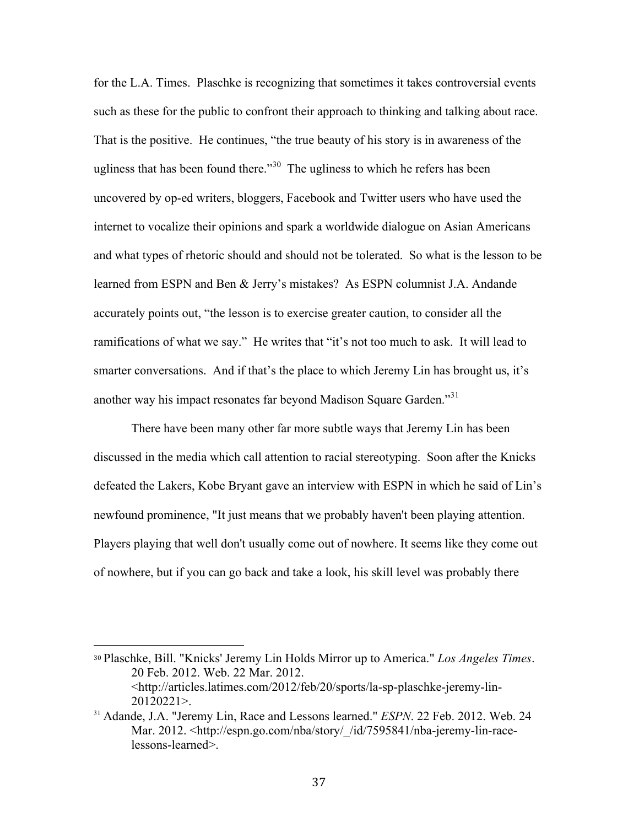for the L.A. Times. Plaschke is recognizing that sometimes it takes controversial events such as these for the public to confront their approach to thinking and talking about race. That is the positive. He continues, "the true beauty of his story is in awareness of the ugliness that has been found there."<sup>30</sup> The ugliness to which he refers has been uncovered by op-ed writers, bloggers, Facebook and Twitter users who have used the internet to vocalize their opinions and spark a worldwide dialogue on Asian Americans and what types of rhetoric should and should not be tolerated. So what is the lesson to be learned from ESPN and Ben & Jerry's mistakes? As ESPN columnist J.A. Andande accurately points out, "the lesson is to exercise greater caution, to consider all the ramifications of what we say." He writes that "it's not too much to ask. It will lead to smarter conversations. And if that's the place to which Jeremy Lin has brought us, it's another way his impact resonates far beyond Madison Square Garden.<sup>31</sup>

There have been many other far more subtle ways that Jeremy Lin has been discussed in the media which call attention to racial stereotyping. Soon after the Knicks defeated the Lakers, Kobe Bryant gave an interview with ESPN in which he said of Lin's newfound prominence, "It just means that we probably haven't been playing attention. Players playing that well don't usually come out of nowhere. It seems like they come out of nowhere, but if you can go back and take a look, his skill level was probably there

<sup>30</sup> Plaschke, Bill. "Knicks' Jeremy Lin Holds Mirror up to America." *Los Angeles Times*. 20 Feb. 2012. Web. 22 Mar. 2012. <http://articles.latimes.com/2012/feb/20/sports/la-sp-plaschke-jeremy-lin-20120221>.

<sup>31</sup> Adande, J.A. "Jeremy Lin, Race and Lessons learned." *ESPN*. 22 Feb. 2012. Web. 24 Mar. 2012. <http://espn.go.com/nba/story/\_/id/7595841/nba-jeremy-lin-racelessons-learned>.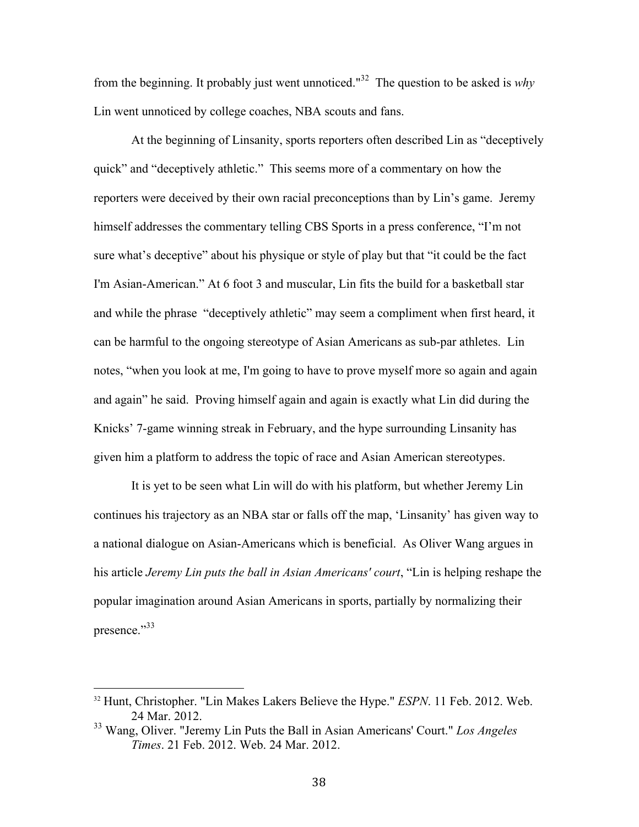from the beginning. It probably just went unnoticed."32 The question to be asked is *why* Lin went unnoticed by college coaches, NBA scouts and fans.

At the beginning of Linsanity, sports reporters often described Lin as "deceptively quick" and "deceptively athletic." This seems more of a commentary on how the reporters were deceived by their own racial preconceptions than by Lin's game. Jeremy himself addresses the commentary telling CBS Sports in a press conference, "I'm not sure what's deceptive" about his physique or style of play but that "it could be the fact I'm Asian-American." At 6 foot 3 and muscular, Lin fits the build for a basketball star and while the phrase "deceptively athletic" may seem a compliment when first heard, it can be harmful to the ongoing stereotype of Asian Americans as sub-par athletes. Lin notes, "when you look at me, I'm going to have to prove myself more so again and again and again" he said. Proving himself again and again is exactly what Lin did during the Knicks' 7-game winning streak in February, and the hype surrounding Linsanity has given him a platform to address the topic of race and Asian American stereotypes.

It is yet to be seen what Lin will do with his platform, but whether Jeremy Lin continues his trajectory as an NBA star or falls off the map, 'Linsanity' has given way to a national dialogue on Asian-Americans which is beneficial. As Oliver Wang argues in his article *Jeremy Lin puts the ball in Asian Americans' court*, "Lin is helping reshape the popular imagination around Asian Americans in sports, partially by normalizing their presence."<sup>33</sup>

<sup>32</sup> Hunt, Christopher. "Lin Makes Lakers Believe the Hype." *ESPN*. 11 Feb. 2012. Web. 24 Mar. 2012.

<sup>33</sup> Wang, Oliver. "Jeremy Lin Puts the Ball in Asian Americans' Court." *Los Angeles Times*. 21 Feb. 2012. Web. 24 Mar. 2012.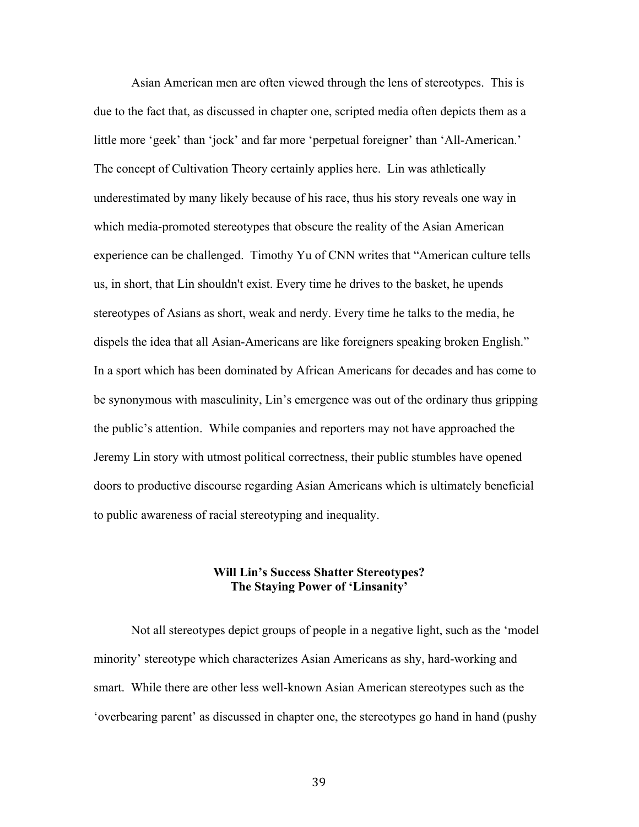Asian American men are often viewed through the lens of stereotypes. This is due to the fact that, as discussed in chapter one, scripted media often depicts them as a little more 'geek' than 'jock' and far more 'perpetual foreigner' than 'All-American.' The concept of Cultivation Theory certainly applies here. Lin was athletically underestimated by many likely because of his race, thus his story reveals one way in which media-promoted stereotypes that obscure the reality of the Asian American experience can be challenged. Timothy Yu of CNN writes that "American culture tells us, in short, that Lin shouldn't exist. Every time he drives to the basket, he upends stereotypes of Asians as short, weak and nerdy. Every time he talks to the media, he dispels the idea that all Asian-Americans are like foreigners speaking broken English." In a sport which has been dominated by African Americans for decades and has come to be synonymous with masculinity, Lin's emergence was out of the ordinary thus gripping the public's attention. While companies and reporters may not have approached the Jeremy Lin story with utmost political correctness, their public stumbles have opened doors to productive discourse regarding Asian Americans which is ultimately beneficial to public awareness of racial stereotyping and inequality.

#### **Will Lin's Success Shatter Stereotypes? The Staying Power of 'Linsanity'**

Not all stereotypes depict groups of people in a negative light, such as the 'model minority' stereotype which characterizes Asian Americans as shy, hard-working and smart. While there are other less well-known Asian American stereotypes such as the 'overbearing parent' as discussed in chapter one, the stereotypes go hand in hand (pushy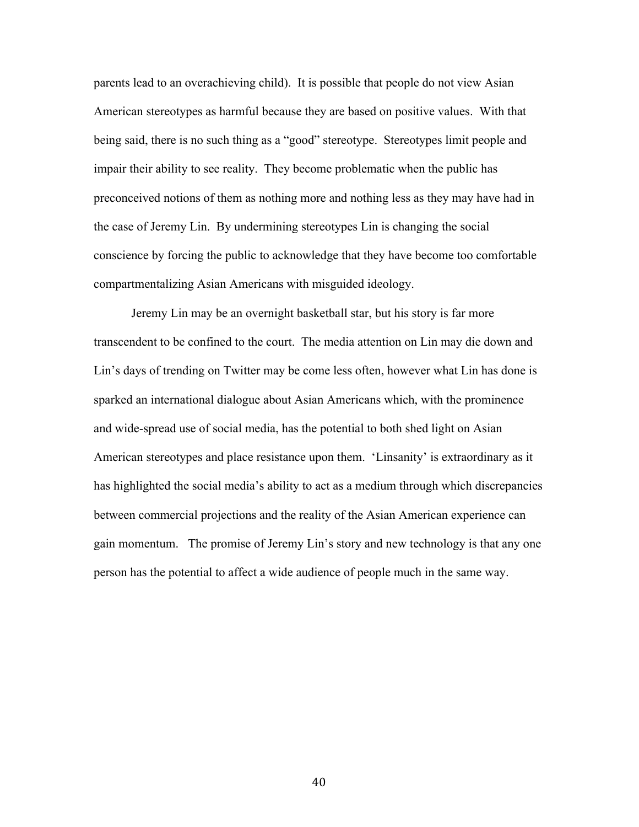parents lead to an overachieving child). It is possible that people do not view Asian American stereotypes as harmful because they are based on positive values. With that being said, there is no such thing as a "good" stereotype. Stereotypes limit people and impair their ability to see reality. They become problematic when the public has preconceived notions of them as nothing more and nothing less as they may have had in the case of Jeremy Lin. By undermining stereotypes Lin is changing the social conscience by forcing the public to acknowledge that they have become too comfortable compartmentalizing Asian Americans with misguided ideology.

Jeremy Lin may be an overnight basketball star, but his story is far more transcendent to be confined to the court. The media attention on Lin may die down and Lin's days of trending on Twitter may be come less often, however what Lin has done is sparked an international dialogue about Asian Americans which, with the prominence and wide-spread use of social media, has the potential to both shed light on Asian American stereotypes and place resistance upon them. 'Linsanity' is extraordinary as it has highlighted the social media's ability to act as a medium through which discrepancies between commercial projections and the reality of the Asian American experience can gain momentum. The promise of Jeremy Lin's story and new technology is that any one person has the potential to affect a wide audience of people much in the same way.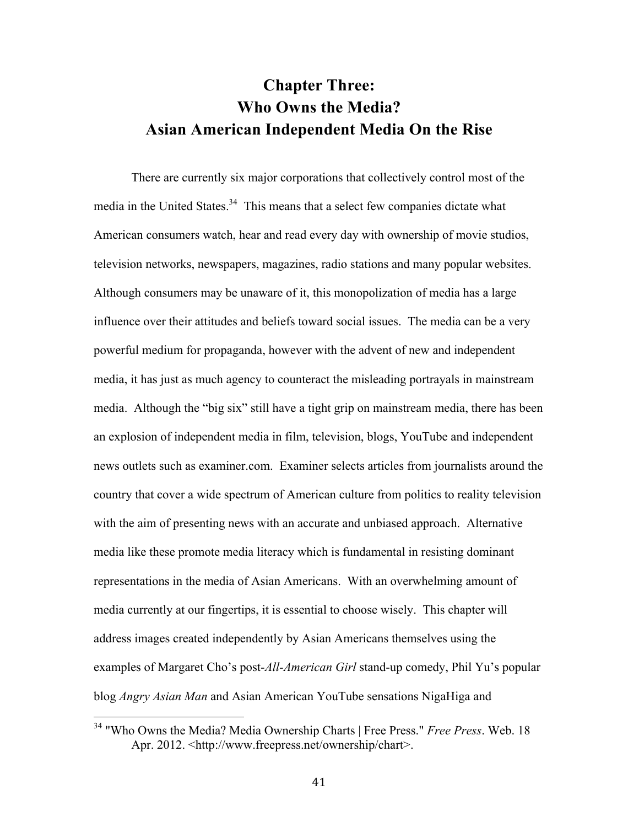## **Chapter Three: Who Owns the Media? Asian American Independent Media On the Rise**

There are currently six major corporations that collectively control most of the media in the United States.<sup>34</sup> This means that a select few companies dictate what American consumers watch, hear and read every day with ownership of movie studios, television networks, newspapers, magazines, radio stations and many popular websites. Although consumers may be unaware of it, this monopolization of media has a large influence over their attitudes and beliefs toward social issues. The media can be a very powerful medium for propaganda, however with the advent of new and independent media, it has just as much agency to counteract the misleading portrayals in mainstream media. Although the "big six" still have a tight grip on mainstream media, there has been an explosion of independent media in film, television, blogs, YouTube and independent news outlets such as examiner.com. Examiner selects articles from journalists around the country that cover a wide spectrum of American culture from politics to reality television with the aim of presenting news with an accurate and unbiased approach. Alternative media like these promote media literacy which is fundamental in resisting dominant representations in the media of Asian Americans. With an overwhelming amount of media currently at our fingertips, it is essential to choose wisely. This chapter will address images created independently by Asian Americans themselves using the examples of Margaret Cho's post-*All-American Girl* stand-up comedy, Phil Yu's popular blog *Angry Asian Man* and Asian American YouTube sensations NigaHiga and

<sup>&</sup>lt;sup>34</sup> "Who Owns the Media? Media Ownership Charts | Free Press." *Free Press*. Web. 18 Apr. 2012. <http://www.freepress.net/ownership/chart>.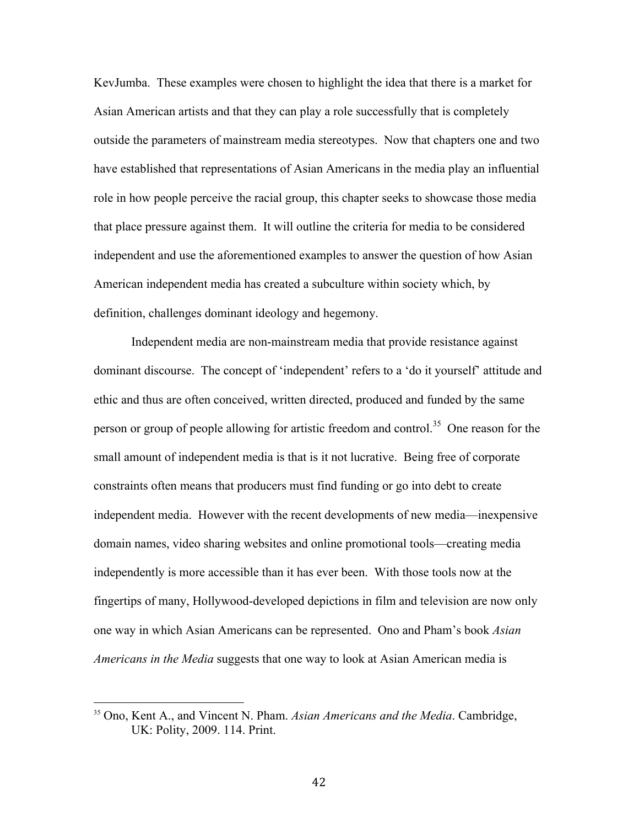KevJumba. These examples were chosen to highlight the idea that there is a market for Asian American artists and that they can play a role successfully that is completely outside the parameters of mainstream media stereotypes. Now that chapters one and two have established that representations of Asian Americans in the media play an influential role in how people perceive the racial group, this chapter seeks to showcase those media that place pressure against them. It will outline the criteria for media to be considered independent and use the aforementioned examples to answer the question of how Asian American independent media has created a subculture within society which, by definition, challenges dominant ideology and hegemony.

Independent media are non-mainstream media that provide resistance against dominant discourse. The concept of 'independent' refers to a 'do it yourself' attitude and ethic and thus are often conceived, written directed, produced and funded by the same person or group of people allowing for artistic freedom and control.<sup>35</sup> One reason for the small amount of independent media is that is it not lucrative. Being free of corporate constraints often means that producers must find funding or go into debt to create independent media. However with the recent developments of new media—inexpensive domain names, video sharing websites and online promotional tools—creating media independently is more accessible than it has ever been. With those tools now at the fingertips of many, Hollywood-developed depictions in film and television are now only one way in which Asian Americans can be represented. Ono and Pham's book *Asian Americans in the Media* suggests that one way to look at Asian American media is

<sup>35</sup> Ono, Kent A., and Vincent N. Pham. *Asian Americans and the Media*. Cambridge, UK: Polity, 2009. 114. Print.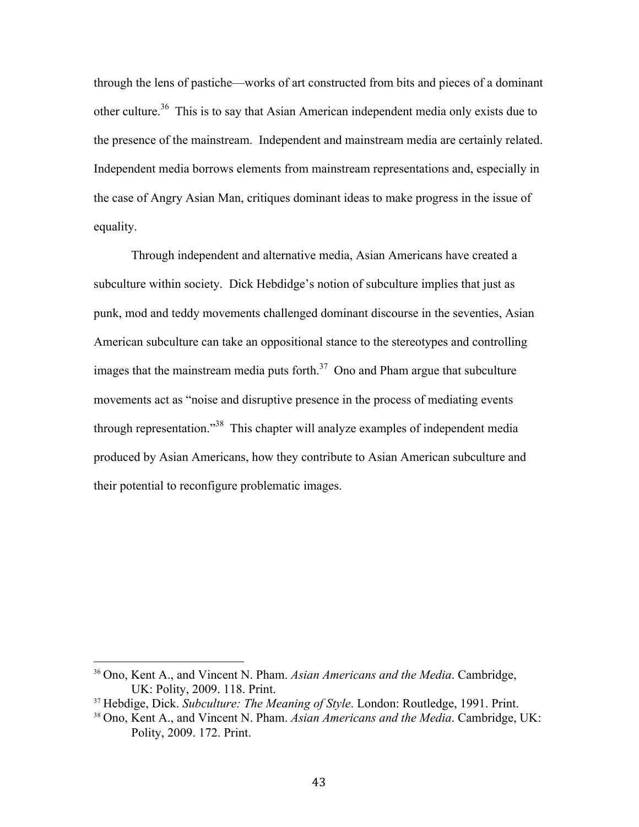through the lens of pastiche—works of art constructed from bits and pieces of a dominant other culture.<sup>36</sup> This is to say that Asian American independent media only exists due to the presence of the mainstream. Independent and mainstream media are certainly related. Independent media borrows elements from mainstream representations and, especially in the case of Angry Asian Man, critiques dominant ideas to make progress in the issue of equality.

Through independent and alternative media, Asian Americans have created a subculture within society. Dick Hebdidge's notion of subculture implies that just as punk, mod and teddy movements challenged dominant discourse in the seventies, Asian American subculture can take an oppositional stance to the stereotypes and controlling images that the mainstream media puts forth. $37$  Ono and Pham argue that subculture movements act as "noise and disruptive presence in the process of mediating events through representation."<sup>38</sup> This chapter will analyze examples of independent media produced by Asian Americans, how they contribute to Asian American subculture and their potential to reconfigure problematic images.

<sup>36</sup> Ono, Kent A., and Vincent N. Pham. *Asian Americans and the Media*. Cambridge, UK: Polity, 2009. 118. Print.

<sup>37</sup> Hebdige, Dick. *Subculture: The Meaning of Style*. London: Routledge, 1991. Print.

<sup>38</sup> Ono, Kent A., and Vincent N. Pham. *Asian Americans and the Media*. Cambridge, UK: Polity, 2009. 172. Print.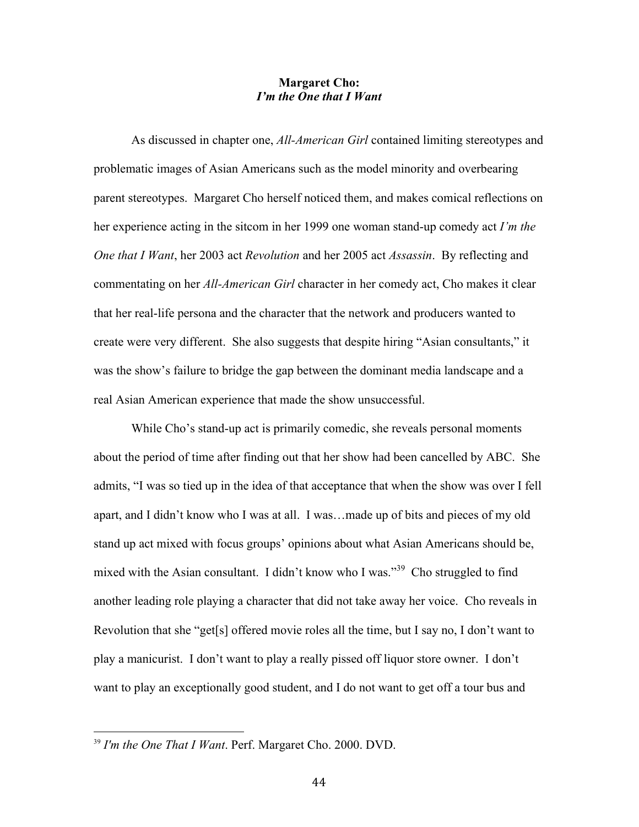#### **Margaret Cho:**  *I'm the One that I Want*

As discussed in chapter one, *All-American Girl* contained limiting stereotypes and problematic images of Asian Americans such as the model minority and overbearing parent stereotypes. Margaret Cho herself noticed them, and makes comical reflections on her experience acting in the sitcom in her 1999 one woman stand-up comedy act *I'm the One that I Want*, her 2003 act *Revolution* and her 2005 act *Assassin*. By reflecting and commentating on her *All-American Girl* character in her comedy act, Cho makes it clear that her real-life persona and the character that the network and producers wanted to create were very different. She also suggests that despite hiring "Asian consultants," it was the show's failure to bridge the gap between the dominant media landscape and a real Asian American experience that made the show unsuccessful.

While Cho's stand-up act is primarily comedic, she reveals personal moments about the period of time after finding out that her show had been cancelled by ABC. She admits, "I was so tied up in the idea of that acceptance that when the show was over I fell apart, and I didn't know who I was at all. I was…made up of bits and pieces of my old stand up act mixed with focus groups' opinions about what Asian Americans should be, mixed with the Asian consultant. I didn't know who I was."<sup>39</sup> Cho struggled to find another leading role playing a character that did not take away her voice. Cho reveals in Revolution that she "get[s] offered movie roles all the time, but I say no, I don't want to play a manicurist. I don't want to play a really pissed off liquor store owner. I don't want to play an exceptionally good student, and I do not want to get off a tour bus and

<sup>39</sup> *I'm the One That I Want*. Perf. Margaret Cho. 2000. DVD.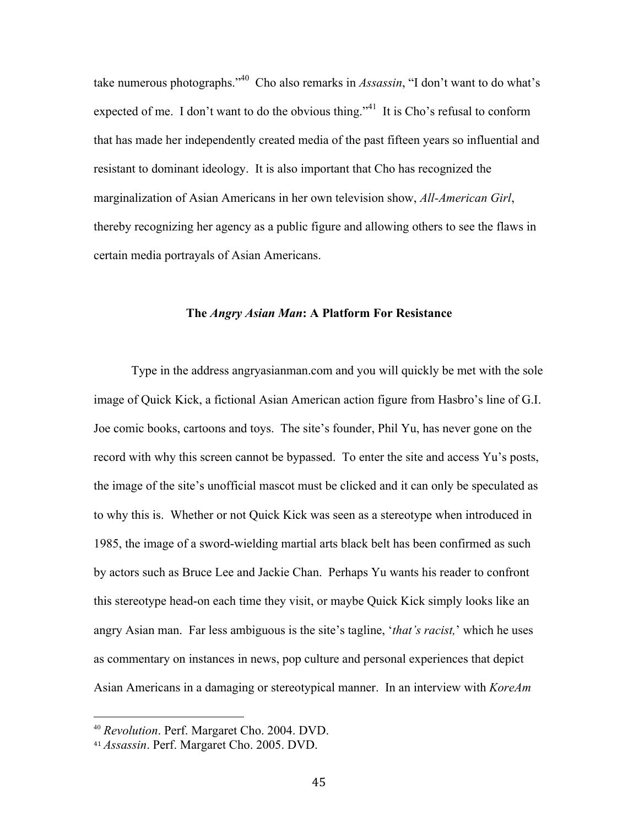take numerous photographs."40 Cho also remarks in *Assassin*, "I don't want to do what's expected of me. I don't want to do the obvious thing."<sup>41</sup> It is Cho's refusal to conform that has made her independently created media of the past fifteen years so influential and resistant to dominant ideology. It is also important that Cho has recognized the marginalization of Asian Americans in her own television show, *All-American Girl*, thereby recognizing her agency as a public figure and allowing others to see the flaws in certain media portrayals of Asian Americans.

#### **The** *Angry Asian Man***: A Platform For Resistance**

Type in the address angryasianman.com and you will quickly be met with the sole image of Quick Kick, a fictional Asian American action figure from Hasbro's line of G.I. Joe comic books, cartoons and toys. The site's founder, Phil Yu, has never gone on the record with why this screen cannot be bypassed. To enter the site and access Yu's posts, the image of the site's unofficial mascot must be clicked and it can only be speculated as to why this is. Whether or not Quick Kick was seen as a stereotype when introduced in 1985, the image of a sword-wielding martial arts black belt has been confirmed as such by actors such as Bruce Lee and Jackie Chan. Perhaps Yu wants his reader to confront this stereotype head-on each time they visit, or maybe Quick Kick simply looks like an angry Asian man. Far less ambiguous is the site's tagline, '*that's racist,*' which he uses as commentary on instances in news, pop culture and personal experiences that depict Asian Americans in a damaging or stereotypical manner. In an interview with *KoreAm*

<sup>40</sup> *Revolution*. Perf. Margaret Cho. 2004. DVD.

<sup>41</sup> *Assassin*. Perf. Margaret Cho. 2005. DVD.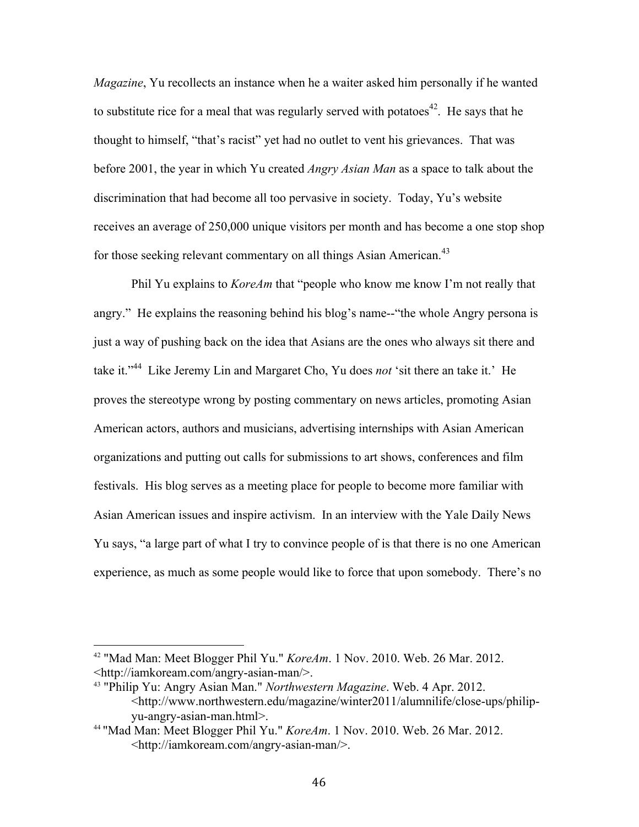*Magazine*, Yu recollects an instance when he a waiter asked him personally if he wanted to substitute rice for a meal that was regularly served with potatoes<sup>42</sup>. He says that he thought to himself, "that's racist" yet had no outlet to vent his grievances. That was before 2001, the year in which Yu created *Angry Asian Man* as a space to talk about the discrimination that had become all too pervasive in society. Today, Yu's website receives an average of 250,000 unique visitors per month and has become a one stop shop for those seeking relevant commentary on all things Asian American.<sup>43</sup>

Phil Yu explains to *KoreAm* that "people who know me know I'm not really that angry." He explains the reasoning behind his blog's name--"the whole Angry persona is just a way of pushing back on the idea that Asians are the ones who always sit there and take it."44 Like Jeremy Lin and Margaret Cho, Yu does *not* 'sit there an take it.' He proves the stereotype wrong by posting commentary on news articles, promoting Asian American actors, authors and musicians, advertising internships with Asian American organizations and putting out calls for submissions to art shows, conferences and film festivals. His blog serves as a meeting place for people to become more familiar with Asian American issues and inspire activism. In an interview with the Yale Daily News Yu says, "a large part of what I try to convince people of is that there is no one American experience, as much as some people would like to force that upon somebody. There's no

<sup>42</sup> "Mad Man: Meet Blogger Phil Yu." *KoreAm*. 1 Nov. 2010. Web. 26 Mar. 2012. <http://iamkoream.com/angry-asian-man/>.

<sup>43</sup> "Philip Yu: Angry Asian Man." *Northwestern Magazine*. Web. 4 Apr. 2012. <http://www.northwestern.edu/magazine/winter2011/alumnilife/close-ups/philipyu-angry-asian-man.html>.

<sup>44</sup> "Mad Man: Meet Blogger Phil Yu." *KoreAm*. 1 Nov. 2010. Web. 26 Mar. 2012. <http://iamkoream.com/angry-asian-man/>.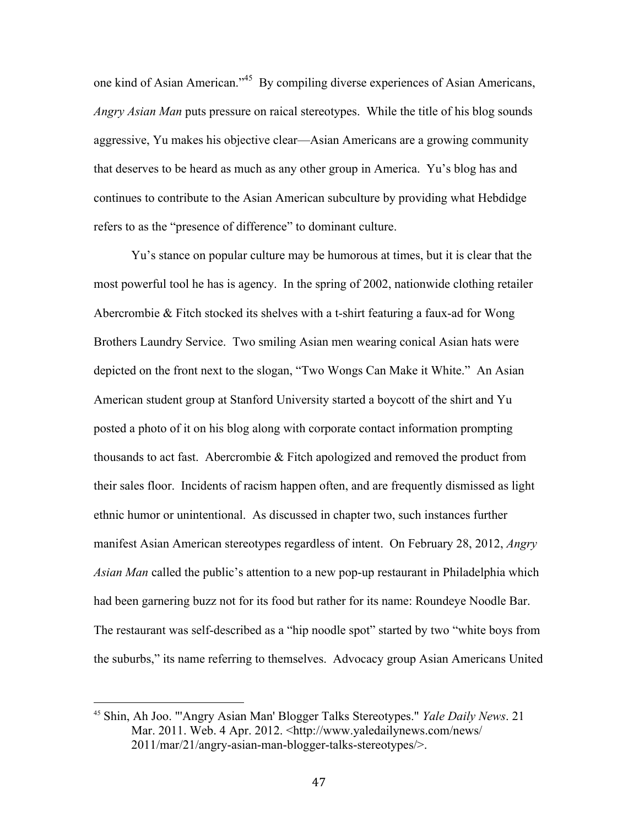one kind of Asian American."45 By compiling diverse experiences of Asian Americans, *Angry Asian Man* puts pressure on raical stereotypes. While the title of his blog sounds aggressive, Yu makes his objective clear—Asian Americans are a growing community that deserves to be heard as much as any other group in America. Yu's blog has and continues to contribute to the Asian American subculture by providing what Hebdidge refers to as the "presence of difference" to dominant culture.

Yu's stance on popular culture may be humorous at times, but it is clear that the most powerful tool he has is agency. In the spring of 2002, nationwide clothing retailer Abercrombie & Fitch stocked its shelves with a t-shirt featuring a faux-ad for Wong Brothers Laundry Service. Two smiling Asian men wearing conical Asian hats were depicted on the front next to the slogan, "Two Wongs Can Make it White." An Asian American student group at Stanford University started a boycott of the shirt and Yu posted a photo of it on his blog along with corporate contact information prompting thousands to act fast. Abercrombie & Fitch apologized and removed the product from their sales floor. Incidents of racism happen often, and are frequently dismissed as light ethnic humor or unintentional. As discussed in chapter two, such instances further manifest Asian American stereotypes regardless of intent. On February 28, 2012, *Angry Asian Man* called the public's attention to a new pop-up restaurant in Philadelphia which had been garnering buzz not for its food but rather for its name: Roundeye Noodle Bar. The restaurant was self-described as a "hip noodle spot" started by two "white boys from the suburbs," its name referring to themselves. Advocacy group Asian Americans United

<sup>45</sup> Shin, Ah Joo. "'Angry Asian Man' Blogger Talks Stereotypes." *Yale Daily News*. 21 Mar. 2011. Web. 4 Apr. 2012. <http://www.yaledailynews.com/news/ 2011/mar/21/angry-asian-man-blogger-talks-stereotypes/>.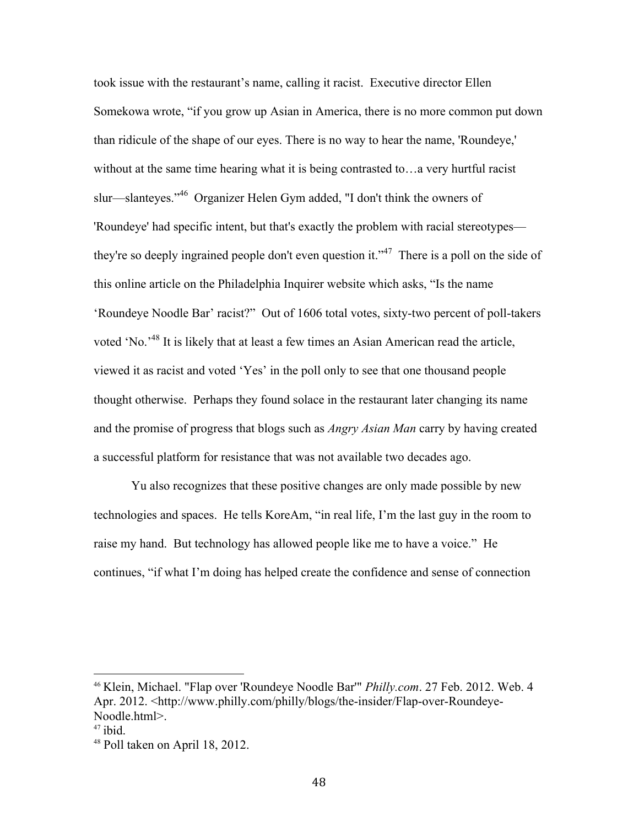took issue with the restaurant's name, calling it racist. Executive director Ellen Somekowa wrote, "if you grow up Asian in America, there is no more common put down than ridicule of the shape of our eyes. There is no way to hear the name, 'Roundeye,' without at the same time hearing what it is being contrasted to... a very hurtful racist slur—slanteyes."46 Organizer Helen Gym added, "I don't think the owners of 'Roundeye' had specific intent, but that's exactly the problem with racial stereotypes they're so deeply ingrained people don't even question it."47 There is a poll on the side of this online article on the Philadelphia Inquirer website which asks, "Is the name 'Roundeye Noodle Bar' racist?" Out of 1606 total votes, sixty-two percent of poll-takers voted 'No.'48 It is likely that at least a few times an Asian American read the article, viewed it as racist and voted 'Yes' in the poll only to see that one thousand people thought otherwise. Perhaps they found solace in the restaurant later changing its name and the promise of progress that blogs such as *Angry Asian Man* carry by having created a successful platform for resistance that was not available two decades ago.

Yu also recognizes that these positive changes are only made possible by new technologies and spaces. He tells KoreAm, "in real life, I'm the last guy in the room to raise my hand. But technology has allowed people like me to have a voice." He continues, "if what I'm doing has helped create the confidence and sense of connection

<sup>46</sup> Klein, Michael. "Flap over 'Roundeye Noodle Bar'" *Philly.com*. 27 Feb. 2012. Web. 4 Apr. 2012. <http://www.philly.com/philly/blogs/the-insider/Flap-over-Roundeye-Noodle.html>.

 $47$  ibid.

<sup>48</sup> Poll taken on April 18, 2012.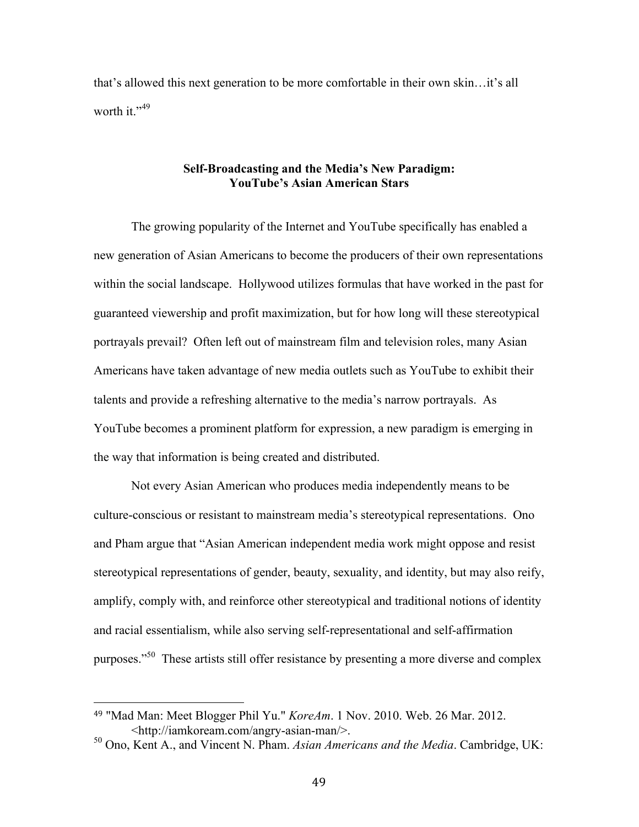that's allowed this next generation to be more comfortable in their own skin…it's all worth it." $49$ 

#### **Self-Broadcasting and the Media's New Paradigm: YouTube's Asian American Stars**

The growing popularity of the Internet and YouTube specifically has enabled a new generation of Asian Americans to become the producers of their own representations within the social landscape. Hollywood utilizes formulas that have worked in the past for guaranteed viewership and profit maximization, but for how long will these stereotypical portrayals prevail? Often left out of mainstream film and television roles, many Asian Americans have taken advantage of new media outlets such as YouTube to exhibit their talents and provide a refreshing alternative to the media's narrow portrayals. As YouTube becomes a prominent platform for expression, a new paradigm is emerging in the way that information is being created and distributed.

Not every Asian American who produces media independently means to be culture-conscious or resistant to mainstream media's stereotypical representations. Ono and Pham argue that "Asian American independent media work might oppose and resist stereotypical representations of gender, beauty, sexuality, and identity, but may also reify, amplify, comply with, and reinforce other stereotypical and traditional notions of identity and racial essentialism, while also serving self-representational and self-affirmation purposes."<sup>50</sup> These artists still offer resistance by presenting a more diverse and complex

<sup>49</sup> "Mad Man: Meet Blogger Phil Yu." *KoreAm*. 1 Nov. 2010. Web. 26 Mar. 2012. <http://iamkoream.com/angry-asian-man/>.

<sup>50</sup> Ono, Kent A., and Vincent N. Pham. *Asian Americans and the Media*. Cambridge, UK: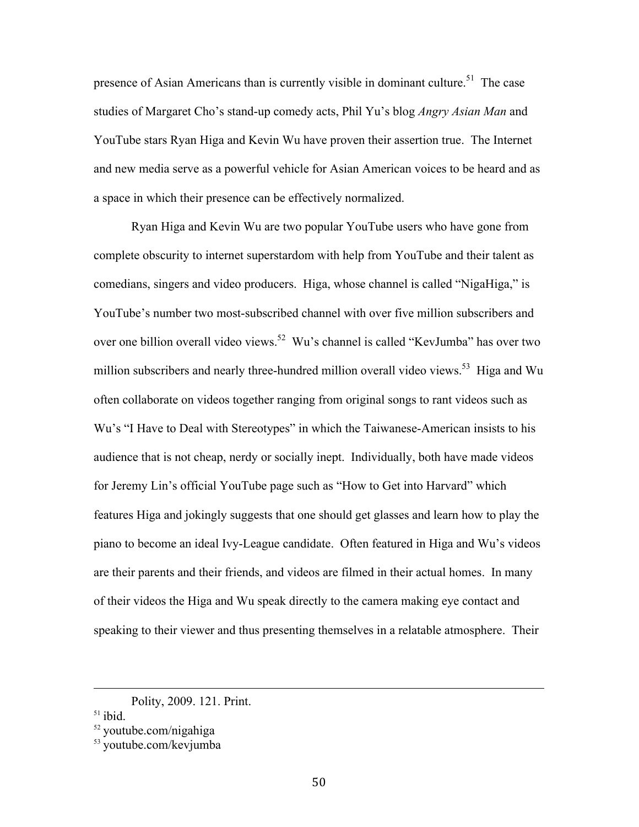presence of Asian Americans than is currently visible in dominant culture.<sup>51</sup> The case studies of Margaret Cho's stand-up comedy acts, Phil Yu's blog *Angry Asian Man* and YouTube stars Ryan Higa and Kevin Wu have proven their assertion true. The Internet and new media serve as a powerful vehicle for Asian American voices to be heard and as a space in which their presence can be effectively normalized.

Ryan Higa and Kevin Wu are two popular YouTube users who have gone from complete obscurity to internet superstardom with help from YouTube and their talent as comedians, singers and video producers. Higa, whose channel is called "NigaHiga," is YouTube's number two most-subscribed channel with over five million subscribers and over one billion overall video views.<sup>52</sup> Wu's channel is called "KevJumba" has over two million subscribers and nearly three-hundred million overall video views.<sup>53</sup> Higa and Wu often collaborate on videos together ranging from original songs to rant videos such as Wu's "I Have to Deal with Stereotypes" in which the Taiwanese-American insists to his audience that is not cheap, nerdy or socially inept. Individually, both have made videos for Jeremy Lin's official YouTube page such as "How to Get into Harvard" which features Higa and jokingly suggests that one should get glasses and learn how to play the piano to become an ideal Ivy-League candidate. Often featured in Higa and Wu's videos are their parents and their friends, and videos are filmed in their actual homes. In many of their videos the Higa and Wu speak directly to the camera making eye contact and speaking to their viewer and thus presenting themselves in a relatable atmosphere. Their

!!!!!!!!!!!!!!!!!!!!!!!!!!!!!!!!!!!!!!!!!!!!!!!!!!!!!!!!!!!!!!!!!!!!!!!!!!!!!!!!!!!!!!!!!!!!!!!!!!!!!!!!!!!!!!!!!!!!!!!!!!!!!!!!!!!!!!!!!!!!!!!!!!!!!!!!!!!!!!!!!!!!

Polity, 2009. 121. Print.

 $51$  ibid.

<sup>52</sup> youtube.com/nigahiga

<sup>53</sup> youtube.com/kevjumba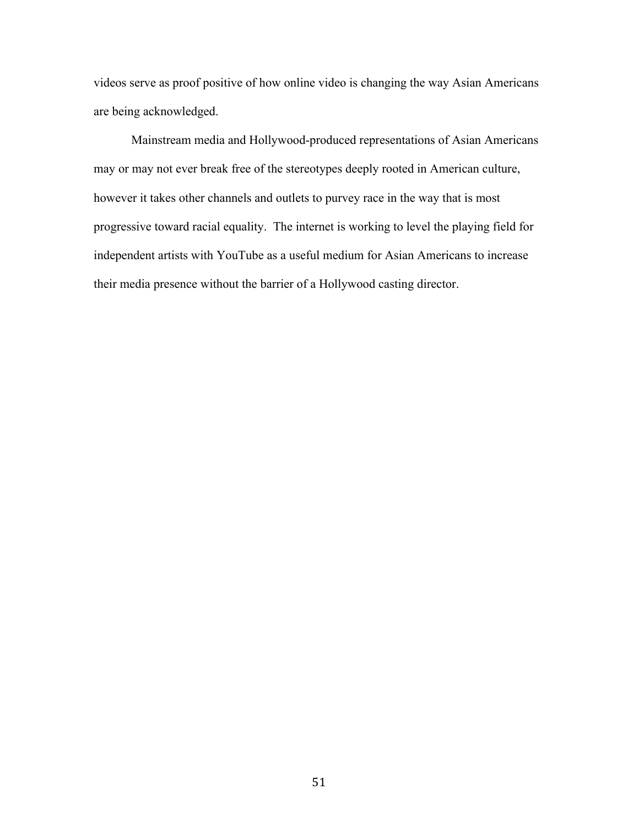videos serve as proof positive of how online video is changing the way Asian Americans are being acknowledged.

Mainstream media and Hollywood-produced representations of Asian Americans may or may not ever break free of the stereotypes deeply rooted in American culture, however it takes other channels and outlets to purvey race in the way that is most progressive toward racial equality. The internet is working to level the playing field for independent artists with YouTube as a useful medium for Asian Americans to increase their media presence without the barrier of a Hollywood casting director.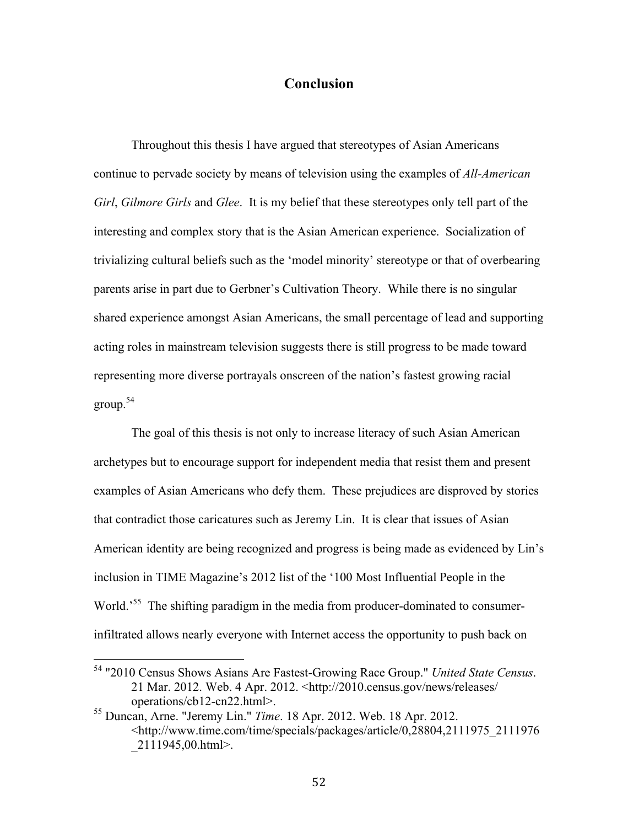#### **Conclusion**

Throughout this thesis I have argued that stereotypes of Asian Americans continue to pervade society by means of television using the examples of *All-American Girl*, *Gilmore Girls* and *Glee*. It is my belief that these stereotypes only tell part of the interesting and complex story that is the Asian American experience. Socialization of trivializing cultural beliefs such as the 'model minority' stereotype or that of overbearing parents arise in part due to Gerbner's Cultivation Theory. While there is no singular shared experience amongst Asian Americans, the small percentage of lead and supporting acting roles in mainstream television suggests there is still progress to be made toward representing more diverse portrayals onscreen of the nation's fastest growing racial group.54

The goal of this thesis is not only to increase literacy of such Asian American archetypes but to encourage support for independent media that resist them and present examples of Asian Americans who defy them. These prejudices are disproved by stories that contradict those caricatures such as Jeremy Lin. It is clear that issues of Asian American identity are being recognized and progress is being made as evidenced by Lin's inclusion in TIME Magazine's 2012 list of the '100 Most Influential People in the World.<sup>55</sup> The shifting paradigm in the media from producer-dominated to consumerinfiltrated allows nearly everyone with Internet access the opportunity to push back on

<sup>&</sup>lt;sup>54</sup> "2010 Census Shows Asians Are Fastest-Growing Race Group." *United State Census*. 21 Mar. 2012. Web. 4 Apr. 2012. <http://2010.census.gov/news/releases/ operations/cb12-cn22.html>.

<sup>55</sup> Duncan, Arne. "Jeremy Lin." *Time*. 18 Apr. 2012. Web. 18 Apr. 2012. <http://www.time.com/time/specials/packages/article/0,28804,2111975\_2111976  $2111945,00.html$